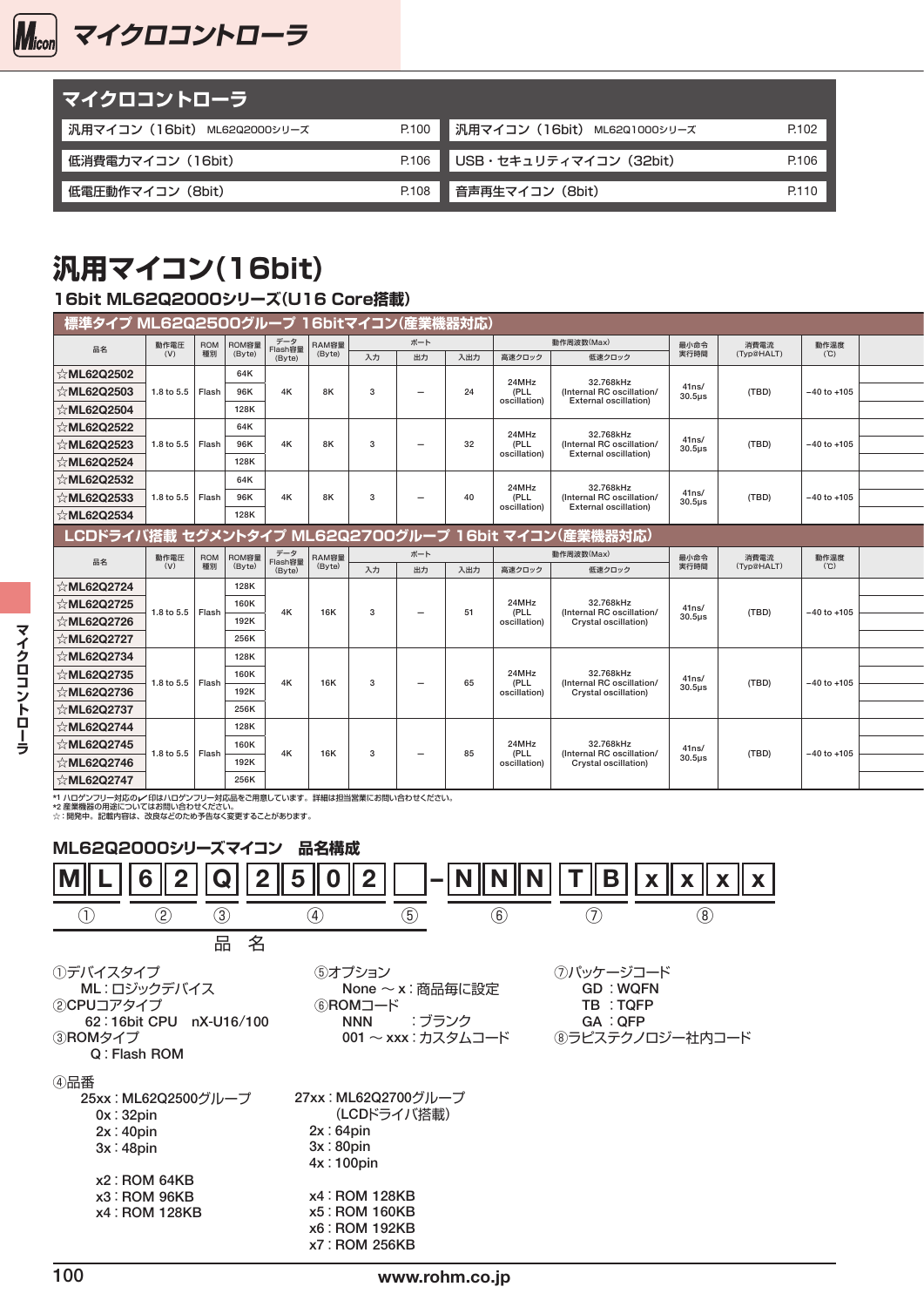

| マイクロコントローラ                  |       |                                |       |
|-----------------------------|-------|--------------------------------|-------|
| 汎用マイコン(16bit) ML62Q2000シリーズ | P.100 | ■ 汎用マイコン (16bit) ML62Q1000シリーズ | P.102 |
| 低消費電力マイコン(16bit)            | P.106 | USB・セキュリティマイコン (32bit)         | P.106 |
| 低電圧動作マイコン(8bit)             | P.108 | 音声再生マイコン(8bit)                 | P.110 |

### **汎用マイコン(16bit)**

### 16bit ML62Q2000シリーズ(U16 Core搭載)

| ▌ 標準タイプ ML62Q2500グループ 16bitマイコン(産業機器対応) |                    |           |                        |                          |                                       |              |                          |     |                      |                                                           |                      |            |                 |  |
|-----------------------------------------|--------------------|-----------|------------------------|--------------------------|---------------------------------------|--------------|--------------------------|-----|----------------------|-----------------------------------------------------------|----------------------|------------|-----------------|--|
| 品名                                      | 動作電圧               |           | ROM ROM容量<br>種別 (Byte) |                          | データ<br>Flash容量 RAM容量<br>(Byte) (Byte) |              | ボート                      |     |                      | 動作周波数(Max)                                                | 最小命令                 | 消費電流       | 動作温度            |  |
|                                         | (V)                |           |                        |                          |                                       | 入力           | 出力                       | 入出力 | 高速クロック               | 低速クロック                                                    | 実行時間                 | (Typ@HALT) | (C)             |  |
| <b>⊱ML62Q2502</b>                       |                    |           | 64K                    |                          |                                       |              |                          |     | 24MHz                | 32.768kHz                                                 |                      |            |                 |  |
| <b>⊱ML62Q2503</b>                       | 1.8 to 5.5   Flash |           | 96K                    | 4K                       | 8K                                    | $\mathbf{3}$ | $\overline{\phantom{0}}$ | 24  | (PLL<br>oscillation) | (Internal RC oscillation/<br><b>External oscillation)</b> | 41ns/<br>$30.5\mu$ s | (TBD)      | $-40$ to $+105$ |  |
| <b>⊱ML62Q2504</b>                       |                    |           | 128K                   |                          |                                       |              |                          |     |                      |                                                           |                      |            |                 |  |
| <b>⊱ML62Q2522</b>                       |                    |           | 64K                    |                          |                                       |              |                          |     |                      |                                                           |                      |            |                 |  |
| <b>⊱ML62Q2523</b>                       | 1.8 to 5.5 Flash   |           | 96K                    | 4K                       | 8K                                    | $\mathbf{3}$ | $\overline{\phantom{0}}$ | 32  | 24MHz<br>(PLL        | 32.768kHz<br>(Internal RC oscillation/                    | 41ns/<br>$30.5\mu$ s | (TBD)      | $-40$ to $+105$ |  |
| ML62Q2524                               |                    |           | 128K                   |                          |                                       |              |                          |     | oscillation)         | <b>External oscillation)</b>                              |                      |            |                 |  |
| <b>⊱ML62Q2532</b>                       |                    |           | 64K                    |                          |                                       |              |                          |     |                      |                                                           |                      |            |                 |  |
| ML62Q2533                               | 1.8 to 5.5   Flash |           | 96K                    | 4K                       | 8K                                    | $\mathbf{3}$ | $\overline{\phantom{0}}$ | 40  | 24MHz<br>(PLL        | 32.768kHz<br>(Internal RC oscillation/                    | 41ns/                | (TBD)      | $-40$ to $+105$ |  |
|                                         |                    |           | 128K                   |                          |                                       |              |                          |     | oscillation)         | <b>External oscillation)</b>                              | $30.5\mu s$          |            |                 |  |
| ☆ML62Q2534                              |                    |           |                        |                          |                                       |              |                          |     |                      |                                                           |                      |            |                 |  |
|                                         |                    |           |                        |                          |                                       |              |                          |     |                      | │ LCDドライバ搭載 セグメントタイプ ML62Q2700グループ 16bit マイコン(産業機器対応)     |                      |            |                 |  |
| 品名                                      | 動作電圧               | ROM<br>種別 | ROM容量<br>(Byte)        | データ<br>Flash容量<br>(Byte) | RAM容量<br>(Byte)                       |              | ボート                      |     |                      | 動作周波数(Max)                                                | 最小命令                 | 消費電流       | 動作温度            |  |
|                                         | (V)                |           |                        |                          |                                       | 入力           | 出力                       | 入出力 | 高速クロック               | 低速クロック                                                    | 実行時間                 | (Typ@HALT) | (°C)            |  |
|                                         |                    |           |                        |                          |                                       |              |                          |     |                      |                                                           |                      |            |                 |  |
| ML62Q2724                               |                    |           | 128K                   |                          |                                       |              |                          |     |                      |                                                           |                      |            |                 |  |
| ML62Q2725                               |                    |           | 160K                   |                          |                                       |              |                          |     | 24MHz                | 32.768kHz                                                 | 41ns/                |            |                 |  |
| ☆ML62Q2726                              | 1.8 to 5.5 Flash   |           | $\sim$<br>192K         | 4K                       | 16K                                   | $\mathbf{3}$ | $\overline{\phantom{0}}$ | 51  | (PLL<br>oscillation) | (Internal RC oscillation/<br>Crystal oscillation)         | $30.5\mu s$          | (TBD)      | $-40$ to $+105$ |  |
| ML62Q2727                               |                    |           | 256K                   |                          |                                       |              |                          |     |                      |                                                           |                      |            |                 |  |
|                                         |                    |           | 128K                   |                          |                                       |              |                          |     |                      |                                                           |                      |            |                 |  |
| ☆ML62Q2734                              |                    |           |                        |                          |                                       |              |                          |     | 24MHz                | 32.768kHz                                                 |                      |            |                 |  |
| <b>ML62Q2735</b>                        | 1.8 to 5.5   Flash |           | 160K<br>__             | 4K                       | 16K                                   | $\mathbf{3}$ | $\overline{\phantom{0}}$ | 65  | (PLL                 | (Internal RC oscillation/                                 | 41ns/<br>$30.5µ$ s   | (TBD)      | $-40$ to $+105$ |  |
| ☆ML62Q2736                              |                    |           | 192K                   |                          |                                       |              |                          |     | oscillation)         | Crystal oscillation)                                      |                      |            |                 |  |
| <b>ML62Q2737</b>                        |                    |           | 256K                   |                          |                                       |              |                          |     |                      |                                                           |                      |            |                 |  |
| ☆ML62Q2744                              |                    |           | 128K                   |                          |                                       |              |                          |     |                      |                                                           |                      |            |                 |  |
| <b>ML62Q2745</b>                        | 1.8 to 5.5 Flash   |           | 160K<br>___            | 4K                       | 16K                                   | $\mathbf{3}$ | $\overline{\phantom{0}}$ | 85  | 24MHz<br>(PLL        | 32.768kHz<br>(Internal RC oscillation/                    | 41 <sub>ns</sub> /   | (TBD)      | $-40$ to $+105$ |  |
| ☆ML62Q2746<br><b>☆ML62Q2747</b>         |                    |           | 192K<br>256K           |                          |                                       |              |                          |     | oscillation)         | Crystal oscillation)                                      | $30.5\mu s$          |            |                 |  |

\*1 ハロゲンフリー対応のレイ印はハロゲンフリー対応品をご用意しています。詳細は担当営業にお問い合わせください。<br>\*2 産業機器の用途についてはお問い合わせください。<br>☆:開発中。記載内容は、改良などのため予告なく変更することがあります。

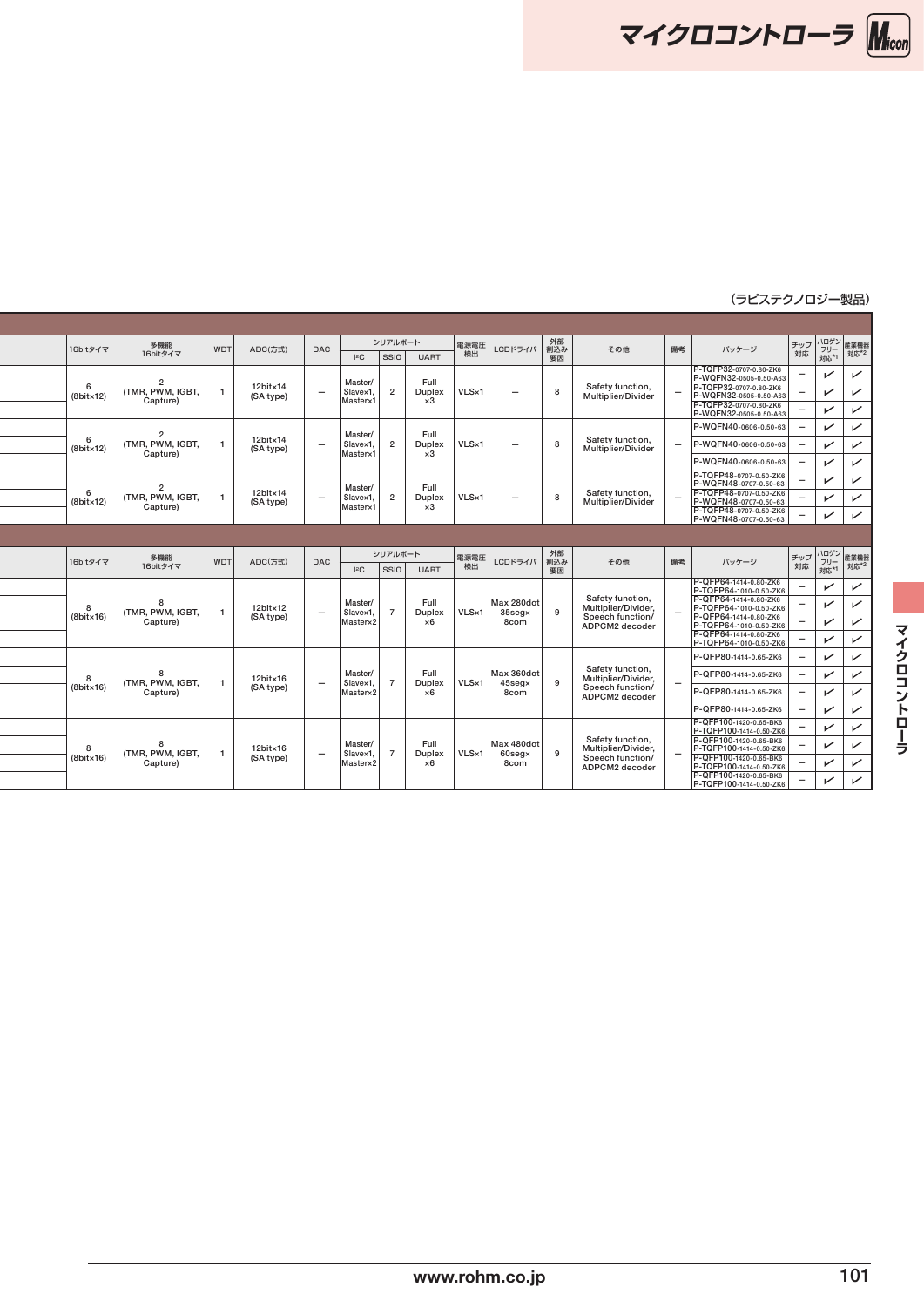マイクロコントローラ Micon

**16bit Music Music Music Music Music Music Music Music Music Music Music Music Music Music Music Music Music M**usi

| 16bitタイマ             | 多機能                         | <b>WDT</b> | ADC(方式)              | <b>DAC</b>               | シリアルボート                           |                      | 電源電圧       | LCDドライバ                   | 外部<br>割込み       | その他                                     | 備考<br>バッケージ                                                                                                                                           | チップ ハロゲン<br>オップ フリー 産業機器<br>対応 対応*1 対応*2             |                                |
|----------------------|-----------------------------|------------|----------------------|--------------------------|-----------------------------------|----------------------|------------|---------------------------|-----------------|-----------------------------------------|-------------------------------------------------------------------------------------------------------------------------------------------------------|------------------------------------------------------|--------------------------------|
|                      | 16bitタイマ                    |            |                      |                          | $ $ ssio $ $<br>$I$ s $C$         | <b>UART</b>          | 検出         |                           | 要因              |                                         | P-TQFP32-0707-0.80-ZK6                                                                                                                                |                                                      |                                |
|                      | (TMR. PWM. IGBT             |            | 12bit×14             |                          | Master/                           | Full                 |            |                           | 8               | Safety function,                        | P-WQFN32-0505-0.50-A63<br>P-TQFP32-0707-0.80-ZK6                                                                                                      | $\checkmark$                                         | $\checkmark$                   |
| $(8bit \times 12)$   | Capture)                    |            | (SA type)            | $\overline{\phantom{0}}$ | Slave×1<br>Masterx                | Duplex<br>$\times 3$ | VLS×1      | $\overline{\phantom{0}}$  |                 | Multiplier/Divider                      | P-WQFN32-0505-0.50-A63                                                                                                                                | $\checkmark$                                         | $\checkmark$                   |
|                      |                             |            |                      |                          |                                   |                      |            |                           |                 |                                         | P-WQFN32-0505-0.50-A63<br>P-WQFN40-0606-0.50-63                                                                                                       | $\sqrt{ }$<br>$\checkmark$                           | $\overline{V}$<br>$\checkmark$ |
| - 6                  | (TMR. PWM. IGBT             |            | 12bit×14             | $\overline{\phantom{0}}$ | Master/<br>Slave×1                | Full<br>Duplex       | VLS×1      | $\overline{\phantom{a}}$  | $\mathbf{R}$    | Safety function,                        | P-WQFN40-0606-0.50-63                                                                                                                                 | $\checkmark$<br>-                                    | $\overline{V}$                 |
| $(8bit \times 12)$   | Capture)                    |            | (SA type)            |                          | Masterx                           | $\times 3$           |            |                           |                 | Multiplier/Divider                      | P-WQFN40-0606-0.50-63                                                                                                                                 | $\checkmark$                                         | $\checkmark$                   |
|                      |                             |            |                      |                          |                                   |                      |            |                           |                 |                                         |                                                                                                                                                       | $\checkmark$                                         | $\overline{V}$                 |
|                      | (TMR. PWM. IGBT             |            | $12$ bit $\times$ 14 | $\overline{\phantom{0}}$ | Master/<br>Slave×1                | Full<br>Duplex       | VLS×1      | $-$                       | $\mathbf{R}$    | Safety function,                        | P-TQFP48-0707-0.50-2K6<br>P-WQFN48-0707-0.50-63<br>P-TQFP48-0707-0.50-2K6<br>P-WQFN48-0707-0.50-63<br>P-TQFP48-0707-0.50-2K6<br>P-WQFN48-0707-0.50-63 | $\sqrt{ }$                                           | $\checkmark$                   |
| $(8bit \times 12)$   | Capture)                    |            | (SA type)            |                          | Masterx                           | $\times 3$           |            |                           |                 | Multiplier/Divider                      |                                                                                                                                                       | $\checkmark$                                         |                                |
|                      |                             |            |                      |                          |                                   |                      |            |                           |                 |                                         |                                                                                                                                                       |                                                      | $\overline{\phantom{0}}$       |
|                      |                             |            |                      |                          |                                   |                      |            |                           |                 |                                         |                                                                                                                                                       |                                                      |                                |
| 16bitタイマ             | 多機能<br>16bitタイマ             | <b>WDT</b> | ADC(方式)              | <b>DAC</b>               | シリアルボート<br>$ $ ssio<br><b>IsC</b> | <b>UART</b>          | 電源電圧<br>検出 | LCDドライバ                   | 外部<br>割込み<br>要因 | その他                                     | 備考<br>バッケージ                                                                                                                                           | チップ ハロゲン 産業機器<br>  対応   フリー 産業機器<br>  対応   対応*1 対応*2 |                                |
|                      |                             |            |                      |                          |                                   |                      |            |                           |                 |                                         | P-QFP64-1414-0.80-ZK6<br>P-TQFP64-1010-0.50-ZK6<br>P-QFP64-1414-0.80-ZK6                                                                              | $\checkmark$                                         | $\checkmark$                   |
|                      | <b>(TMR, PWM, IGBT</b>      |            | $12$ bit $\times$ 12 |                          | Master/                           | Full                 | VLS×1      | Max 280dot                | -9              | Safety function,<br>Multiplier/Divider, | P-TQFP64-1010-0.50-ZK6                                                                                                                                | $\checkmark$                                         | $\checkmark$                   |
| $(8$ bit $\times$ 16 | Capture)                    |            | (SA type)            | $\overline{\phantom{0}}$ | Slave×1<br>Masterx2               | Duplex<br>×6         |            | $35$ seg $\times$<br>8com |                 | Speech function/<br>ADPCM2 decoder      | P-QFP64-1414-0.80-ZK6<br>P-TQFP64-1010-0.50-ZK6                                                                                                       | $\checkmark$                                         | $\checkmark$                   |
|                      |                             |            |                      |                          |                                   |                      |            |                           |                 |                                         | P-QFP64-1414-0.80-ZK6<br>P-TQFP64-1010-0.50-ZK6                                                                                                       | $\checkmark$                                         | $\checkmark$                   |
|                      |                             |            |                      |                          |                                   |                      |            |                           |                 |                                         | P-QFP80-1414-0.65-ZK6                                                                                                                                 | $\checkmark$                                         | $\checkmark$                   |
|                      | (TMR, PWM, IGBT)            |            | 12bit×16             | $\overline{\phantom{0}}$ | Master/<br>Slave×1                | Full<br>Duplex       | VLS×1      | Max 360dot<br>45seg×      | -9              | Safety function,<br>Multiplier/Divider, | P-QFP80-1414-0.65-ZK6                                                                                                                                 | $\checkmark$<br>Ξ.                                   | س                              |
| $(8$ bit $\times$ 16 | Capture)                    |            | (SA type)            |                          | Masterx2                          | ×6                   |            | 8com                      |                 | Speech function/<br>ADPCM2 decoder      | P-QFP80-1414-0.65-ZK6                                                                                                                                 | $\checkmark$<br>Ξ.                                   | $\overline{\phantom{0}}$       |
|                      |                             |            |                      |                          |                                   |                      |            |                           |                 |                                         | P-QFP80-1414-0.65-ZK6                                                                                                                                 | $\checkmark$                                         | レ                              |
|                      |                             |            |                      |                          |                                   |                      |            |                           |                 |                                         | P-QFP100-1420-0.65-BK6<br>P-TQFP100-1414-0.50-ZK6                                                                                                     | $\sqrt{ }$                                           | $\overline{\phantom{a}}$       |
|                      |                             |            |                      |                          |                                   |                      |            |                           |                 | Safety function,                        | P-QFP100-1420-0.65-BK6                                                                                                                                |                                                      |                                |
|                      |                             |            | 12bit×16             |                          | Master/                           | Full                 |            | Max 480dot                |                 | Multiplier/Divider,                     | P-TQFP100-1414-0.50-ZK6                                                                                                                               | $\checkmark$                                         | $\checkmark$                   |
| $(8bit \times 16)$   | (TMR, PWM, IGBT<br>Capture) |            | (SA type)            | $\overline{\phantom{0}}$ | Slave×1<br>Master×2               | Duplex<br>×6         | VLS×1      | $60$ seg $\times$<br>8com | <b>Q</b>        | Speech function/<br>ADPCM2 decoder      | P-QFP100-1420-0.65-BK6<br>P-TQFP100-1414-0.50-ZK6<br>P-QFP100-1420-0.65-BK6<br>P-TQFP100-1414-0.50-ZK6                                                | $\checkmark$                                         | $\mathbf{v}$                   |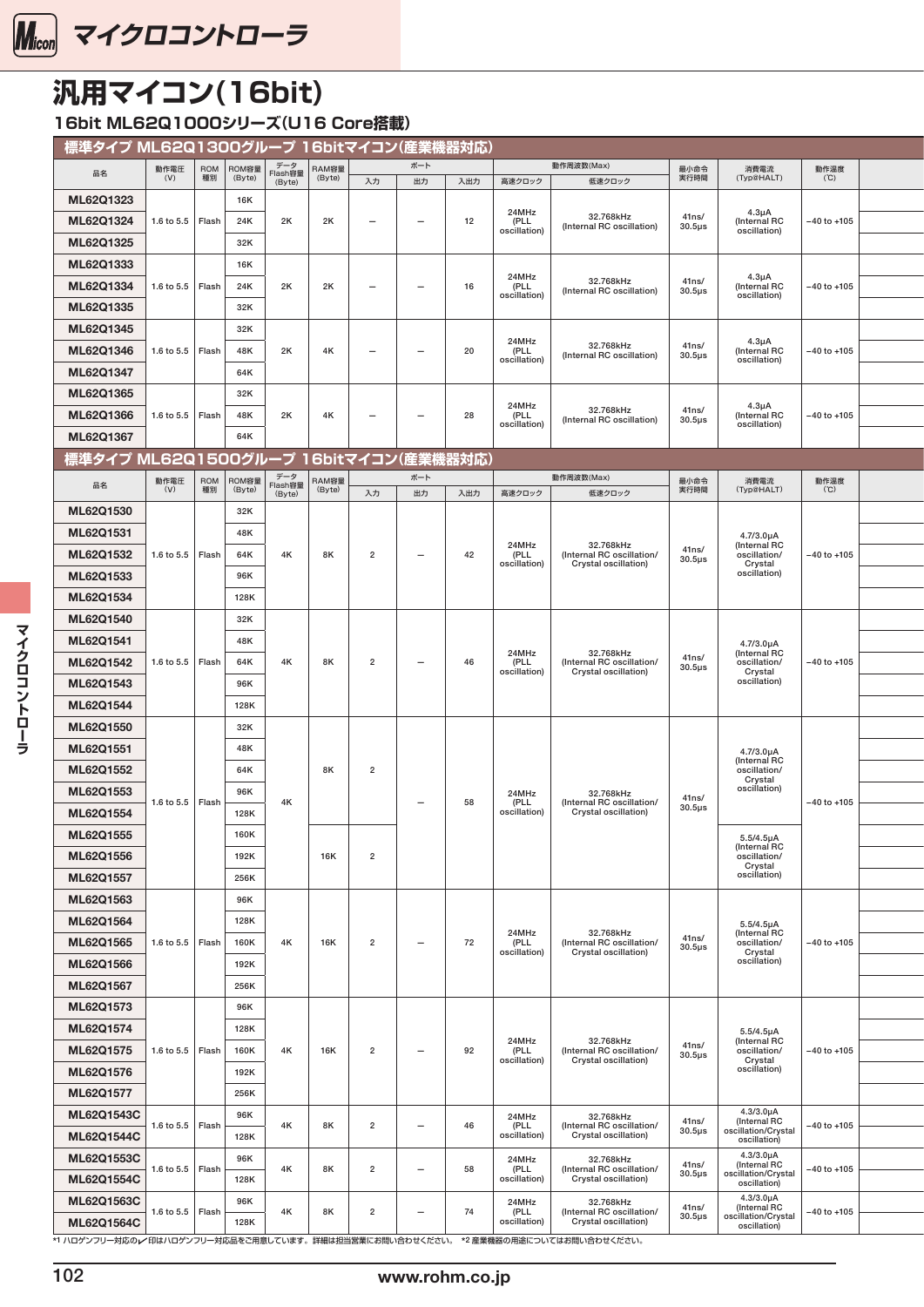<span id="page-2-0"></span>

### **汎用マイコン(16bit)**

16bit ML62Q1000シリーズ(U16 Core搭載)

| 標準タイプ ML62Q1300グループ 16bitマイコン(産業機器対応) |                    |             |                 |                |                 |                          |                                 |     |                      |                                                                                     |                      |                                     |                 |  |
|---------------------------------------|--------------------|-------------|-----------------|----------------|-----------------|--------------------------|---------------------------------|-----|----------------------|-------------------------------------------------------------------------------------|----------------------|-------------------------------------|-----------------|--|
| 品名                                    | 動作電圧<br>(V)        | ROM  <br>種別 | ROM容量<br>(Byte) | データ<br>Flash容量 | RAM容量<br>(Byte) |                          | ボート                             |     |                      | 動作周波数(Max)                                                                          | 最小命令<br>実行時間         | 消費電流<br>(Typ@HALT)                  | 動作温度<br>(C)     |  |
| ML62Q1323                             |                    |             | 16K             | (Byte)         |                 | 入力                       | 出力                              | 入出力 | 高速クロック               | 低速クロック                                                                              |                      |                                     |                 |  |
|                                       |                    |             |                 |                |                 |                          |                                 |     | 24MHz                | 32.768kHz                                                                           | 41ns/                | $4.3\mu A$                          |                 |  |
| ML62Q1324                             | 1.6 to 5.5 Flash   |             | 24K             | 2K             | 2K              | $\overline{\phantom{m}}$ | $\overline{\phantom{a}}$        | 12  | (PLL<br>oscillation) | (Internal RC oscillation)                                                           | $30.5\mu s$          | (Internal RC<br>oscillation)        | $-40$ to $+105$ |  |
| ML62Q1325                             |                    |             | 32K             |                |                 |                          |                                 |     |                      |                                                                                     |                      |                                     |                 |  |
| ML62Q1333                             |                    |             | <b>16K</b>      |                |                 |                          |                                 |     | 24MHz                |                                                                                     |                      | $4.3\mu A$                          |                 |  |
| ML62Q1334                             | 1.6 to 5.5   Flash |             | 24K             | 2K             | 2K              | $\overline{\phantom{m}}$ | $\overline{\phantom{m}}$        | 16  | (PLL<br>oscillation) | 32.768kHz<br>(Internal RC oscillation)                                              | 41ns/<br>$30.5\mu s$ | (Internal RC<br>oscillation)        | $-40$ to $+105$ |  |
| ML62Q1335                             |                    |             | 32K             |                |                 |                          |                                 |     |                      |                                                                                     |                      |                                     |                 |  |
| ML62Q1345                             |                    |             | 32K             |                |                 |                          |                                 |     |                      |                                                                                     |                      |                                     |                 |  |
| ML62Q1346                             | 1.6 to 5.5   Flash |             | 48K             | 2K             | 4K              | $\overline{\phantom{m}}$ | $\overline{\phantom{0}}$        | 20  | 24MHz<br>(PLL        | 32.768kHz<br>(Internal RC oscillation)                                              | 41ns/<br>$30.5\mu s$ | $4.3\mu A$<br>(Internal RC          | $-40$ to $+105$ |  |
| ML62Q1347                             |                    |             | 64K             |                |                 |                          |                                 |     | oscillation)         |                                                                                     |                      | oscillation)                        |                 |  |
| ML62Q1365                             |                    |             | 32K             |                |                 |                          |                                 |     |                      |                                                                                     |                      |                                     |                 |  |
|                                       |                    |             |                 |                |                 |                          |                                 |     | 24MHz                | 32.768kHz                                                                           | 41ns/                | $4.3\mu A$                          |                 |  |
| ML62Q1366                             | 1.6 to 5.5 Flash   |             | 48K             | 2K             | 4K              | $-$                      | $\overline{\phantom{0}}$        | 28  | (PLL<br>oscillation) | (Internal RC oscillation)                                                           | $30.5\mu s$          | (Internal RC<br>oscillation)        | -40 to +105     |  |
| ML62Q1367                             |                    |             | 64K             |                |                 |                          |                                 |     |                      |                                                                                     |                      |                                     |                 |  |
| 標準タイプ ML62Q1500グループ 16bitマイコン(産業機器対応) |                    |             |                 |                |                 |                          |                                 |     |                      |                                                                                     |                      |                                     |                 |  |
| 品名                                    | 動作電圧               |             | ROM ROM容量       | データ<br>Flash容量 | RAM容量           |                          | ボート                             |     |                      | 動作周波数(Max)                                                                          | 最小命令                 | 消費電流                                | 動作温度            |  |
|                                       | (V)                | 種別          | (Byte)          | (Byte)         | (Byte)          | 入力                       | 出力                              | 入出力 | 高速クロック               | 低速クロック                                                                              | 実行時間                 | (Typ@HALT)                          | (C)             |  |
| ML62Q1530                             |                    |             | 32K             |                |                 |                          |                                 |     |                      |                                                                                     |                      |                                     |                 |  |
| ML62Q1531                             |                    |             | 48K             |                |                 |                          |                                 |     |                      |                                                                                     |                      | 4.7/3.0µA                           |                 |  |
| ML62Q1532                             | 1.6 to 5.5 Flash   |             | 64K             | 4K             | 8K              | $\overline{2}$           | $\overline{\phantom{0}}$        | 42  | 24MHz<br>(PLL        | 32.768kHz<br>(Internal RC oscillation/                                              | 41ns/<br>$30.5\mu s$ | (Internal RC<br>oscillation/        | $-40$ to $+105$ |  |
| ML62Q1533                             |                    |             | 96K             |                |                 |                          |                                 |     | oscillation)         | Crystal oscillation)                                                                |                      | Crystal<br>oscillation)             |                 |  |
| ML62Q1534                             |                    |             | 128K            |                |                 |                          |                                 |     |                      |                                                                                     |                      |                                     |                 |  |
| ML62Q1540                             |                    |             | 32K             |                |                 |                          |                                 |     |                      |                                                                                     |                      |                                     |                 |  |
|                                       |                    |             |                 |                |                 |                          |                                 |     |                      |                                                                                     |                      |                                     |                 |  |
| ML62Q1541                             |                    |             | 48K             |                |                 |                          |                                 |     | 24MHz                | 32.768kHz                                                                           |                      | $4.7/3.0\mu A$<br>(Internal RC      |                 |  |
| ML62Q1542                             | 1.6 to 5.5 Flash   |             | 64K             | 4K             | 8K              | $\overline{2}$           | $\overline{\phantom{0}}$        | 46  | (PLL<br>oscillation) | (Internal RC oscillation/<br>Crystal oscillation)                                   | 41ns/<br>$30.5\mu s$ | oscillation/<br>Crystal             | $-40$ to $+105$ |  |
| ML62Q1543                             |                    |             | 96K             |                |                 |                          |                                 |     |                      |                                                                                     |                      | oscillation)                        |                 |  |
| ML62Q1544                             |                    |             | 128K            |                |                 |                          |                                 |     |                      |                                                                                     |                      |                                     |                 |  |
| ML62Q1550                             |                    |             | 32K             |                |                 |                          |                                 |     |                      |                                                                                     |                      |                                     |                 |  |
|                                       |                    |             |                 |                |                 |                          |                                 |     |                      |                                                                                     |                      |                                     |                 |  |
| ML62Q1551                             |                    |             | 48K             |                |                 |                          |                                 |     |                      |                                                                                     |                      | $4.7/3.0\mu A$<br>(Internal RC      |                 |  |
| ML62Q1552                             |                    |             | 64K             |                | 8K              | $\overline{2}$           |                                 |     |                      |                                                                                     |                      | oscillation/<br>Crystal             |                 |  |
| ML62Q1553                             | 1.6 to 5.5 Flash   |             | 96K             | 4K             |                 |                          | $\overline{\phantom{m}}$        | 58  | 24MHz<br>(PLL        | 32.768kHz<br>(Internal RC oscillation/                                              | 41ns/                | oscillation)                        | $-40$ to $+105$ |  |
| ML62Q1554                             |                    |             | 128K            |                |                 |                          |                                 |     | oscillation)         | Crystal oscillation)                                                                | $30.5\mu s$          |                                     |                 |  |
| ML62Q1555                             |                    |             | 160K            |                |                 |                          |                                 |     |                      |                                                                                     |                      | $5.5/4.5\mu A$                      |                 |  |
| ML62Q1556                             |                    |             | 192K            |                | <b>16K</b>      | $\overline{2}$           |                                 |     |                      |                                                                                     |                      | (Internal RC<br>oscillation/        |                 |  |
|                                       |                    |             |                 |                |                 |                          |                                 |     |                      |                                                                                     |                      | Crystal<br>oscillation)             |                 |  |
| ML62Q1557                             |                    |             | 256K            |                |                 |                          |                                 |     |                      |                                                                                     |                      |                                     |                 |  |
| ML62Q1563                             |                    |             | 96K             |                |                 |                          |                                 |     |                      |                                                                                     |                      |                                     |                 |  |
| ML62Q1564                             |                    |             | 128K            |                |                 |                          |                                 |     |                      |                                                                                     |                      | $5.5/4.5\mu A$                      |                 |  |
| ML62Q1565                             | 1.6 to 5.5   Flash |             | 160K            | 4K             | <b>16K</b>      | $\overline{2}$           | $\overline{\phantom{0}}$        | 72  | 24MHz<br>(PLL        | 32.768kHz<br>(Internal RC oscillation/                                              | 41ns/<br>$30.5\mu s$ | (Internal RC<br>oscillation/        | $-40$ to $+105$ |  |
| ML62Q1566                             |                    |             | 192K            |                |                 |                          |                                 |     | oscillation)         | Crystal oscillation)                                                                |                      | Crystal<br>oscillation)             |                 |  |
| ML62Q1567                             |                    |             | 256K            |                |                 |                          |                                 |     |                      |                                                                                     |                      |                                     |                 |  |
|                                       |                    |             |                 |                |                 |                          |                                 |     |                      |                                                                                     |                      |                                     |                 |  |
| ML62Q1573                             |                    |             | 96K             |                |                 |                          |                                 |     |                      |                                                                                     |                      |                                     |                 |  |
| ML62Q1574                             |                    |             | 128K            |                |                 |                          |                                 |     | 24MHz                | 32.768kHz                                                                           |                      | $5.5/4.5\mu A$<br>(Internal RC      |                 |  |
| ML62Q1575                             | 1.6 to 5.5   Flash |             | 160K            | 4K             | 16K             | $\overline{2}$           | $\overline{\phantom{0}}$        | 92  | (PLL<br>oscillation) | (Internal RC oscillation/<br>Crystal oscillation)                                   | 41ns/<br>$30.5\mu s$ | oscillation/<br>Crystal             | $-40$ to $+105$ |  |
| ML62Q1576                             |                    |             | 192K            |                |                 |                          |                                 |     |                      |                                                                                     |                      | oscillation)                        |                 |  |
| ML62Q1577                             |                    |             | 256K            |                |                 |                          |                                 |     |                      |                                                                                     |                      |                                     |                 |  |
| ML62Q1543C                            |                    |             | 96K             |                |                 |                          |                                 |     | 24MHz                | 32.768kHz                                                                           |                      | $4.3/3.0\mu A$                      |                 |  |
| <b>ML62Q1544C</b>                     | 1.6 to 5.5   Flash |             | 128K            | 4K             | 8K              | $\overline{2}$           | $\overline{\phantom{0}}$        | 46  | (PLL<br>oscillation) | (Internal RC oscillation/<br>Crystal oscillation)                                   | 41ns/<br>$30.5\mu s$ | (Internal RC<br>oscillation/Crystal | -40 to +105     |  |
|                                       |                    |             | 96K             |                |                 |                          |                                 |     |                      |                                                                                     |                      | oscillation)<br>$4.3/3.0\mu A$      |                 |  |
| ML62Q1553C                            | 1.6 to 5.5   Flash |             |                 | 4K             | 8K              | $\overline{2}$           | $\overline{\phantom{0}}$        | 58  | 24MHz<br>(PLL        | 32.768kHz<br>(Internal RC oscillation/                                              | 41ns/<br>$30.5\mu s$ | (Internal RC<br>oscillation/Crystal | -40 to +105     |  |
| ML62Q1554C                            |                    |             | 128K            |                |                 |                          |                                 |     | oscillation)         | Crystal oscillation)                                                                |                      | oscillation)                        |                 |  |
| ML62Q1563C                            | 1.6 to 5.5   Flash |             | 96K             | 4K             | 8K              | $\overline{2}$           | $\hspace{0.1mm}-\hspace{0.1mm}$ | 74  | 24MHz<br>(PLL        | 32.768kHz<br>(Internal RC oscillation/                                              | 41ns/                | 4.3/3.0µA<br>(Internal RC           | -40 to +105     |  |
| <b>ML62Q1564C</b>                     |                    |             | 128K            |                |                 |                          |                                 |     | oscillation)         | Crystal oscillation)                                                                | $30.5\mu s$          | oscillation/Crystal<br>oscillation) |                 |  |
|                                       |                    |             |                 |                |                 |                          |                                 |     |                      | *1 ハロゲンフリー対応のレイ印はハロゲンフリー対応品をご用意しています。詳細は担当営業にお問い合わせください。 *2 産業機器の用途についてはお問い合わせください。 |                      |                                     |                 |  |

マイクロコントローラ **マイクロコントローラ**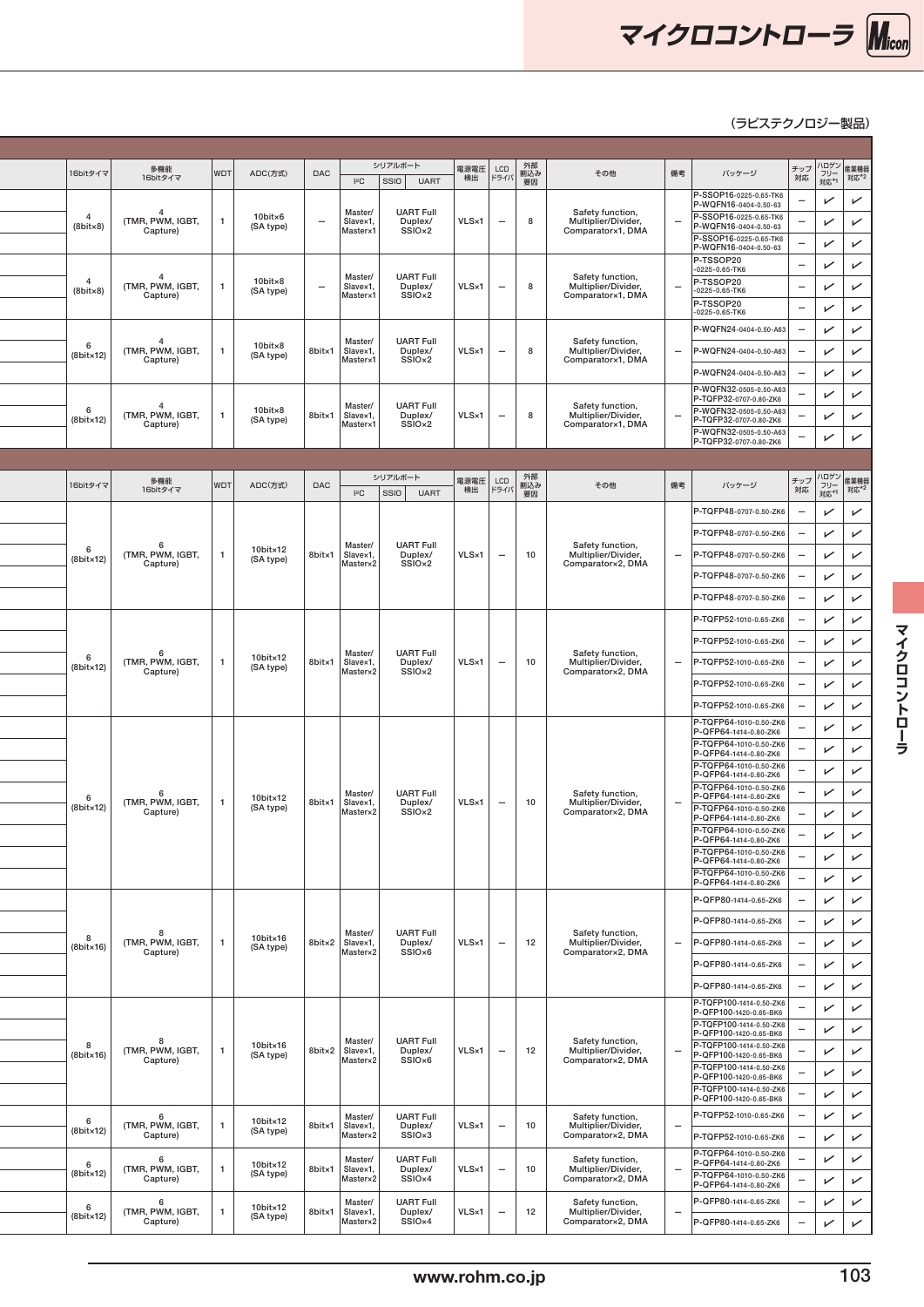

۰

|                                     | 16bitタイマ           | 多機能<br>16bitタイマ                               | WDT | ADC(方式)                           | DAC<br><b>IsC</b>                                | シリアルボート<br>$ $ ssio $ $<br><b>UART</b>            | 電源電圧 LCD       | 外部<br> 割込み<br>  製因<br>検出   ドライバ | その他                                                          | 備考  | バッケージ                                                                        | チップ ハロゲン 産業機器  <br>  チップ フリー 産業機器                               | フリー<br>  対応*1                            |                              |
|-------------------------------------|--------------------|-----------------------------------------------|-----|-----------------------------------|--------------------------------------------------|---------------------------------------------------|----------------|---------------------------------|--------------------------------------------------------------|-----|------------------------------------------------------------------------------|-----------------------------------------------------------------|------------------------------------------|------------------------------|
|                                     |                    |                                               |     |                                   | Master/                                          | <b>UART Full</b>                                  |                |                                 |                                                              |     | P-SSOP16-0225-0.65-TK6<br>P-WQFN16-0404-0.50-63                              |                                                                 | $\sqrt{ }$                               | $\checkmark$                 |
| $\overline{4}$<br>$(8bit \times 8)$ |                    | (TMR, PWM, IGBT,<br>Capture)                  |     | $10$ bit $\times 6$<br>(SA type)  | Slavex1,<br>$\overline{\phantom{0}}$<br>Master×1 | Duplex/<br>SSIO <sub>×2</sub>                     | VLS×1          | 8<br>$\overline{\phantom{0}}$   | Safety function,<br>Multiplier/Divider,<br>Comparator×1, DMA | -   | P-SSOP16-0225-0.65-TK6<br>P-WQFN16-0404-0.50-63                              |                                                                 | $\sqrt{ }$                               | $\checkmark$                 |
|                                     |                    |                                               |     |                                   |                                                  |                                                   |                |                                 |                                                              |     | P-SSOP16-0225-0.65-TK6<br>P-WQFN16-0404-0.50-63                              |                                                                 | $\sqrt{ }$                               | $\checkmark$                 |
| $\overline{4}$                      |                    |                                               |     | $10$ bit $\times 8$               | Master/                                          | <b>UART Full</b>                                  |                |                                 | Safety function,                                             |     | P-TSSOP20<br>$-0225 - 0.65 - TK6$<br>P-TSSOP20                               | $\overline{\phantom{m}}$                                        | $\sqrt{ }$                               | $\checkmark$                 |
| $(8bit \times 8)$                   |                    | TMR, PWM, IGBT,<br>Capture)                   |     | (SA type)                         | Slave×1,<br>$\overline{\phantom{m}}$<br>Master×1 | Duplex/<br>SSIO <sub>×2</sub>                     | VLS×1          | 8<br>$\overline{\phantom{0}}$   | Multiplier/Divider,<br>Comparator×1, DMA                     |     | $-0225 - 0.65 - TK6$<br>P-TSSOP20                                            | $-$                                                             | $\sqrt{ }$<br>$\sqrt{ }$                 | $\overline{\phantom{0}}$     |
|                                     |                    |                                               |     |                                   |                                                  |                                                   |                |                                 |                                                              |     | $-0225 - 0.65 - TK6$<br>P-WQFN24-0404-0.50-A63                               | $\equiv$                                                        | $\sqrt{ }$                               | $\checkmark$<br>$\checkmark$ |
| 6                                   |                    | (TMR, PWM, IGBT,                              |     | 10bit×8                           | Master/<br>8bit×1<br>Slavex1,                    | <b>UART Full</b><br>Duplex/                       | VLS×1          | 8<br>$\overline{\phantom{0}}$   | Safety function,<br>Multiplier/Divider,                      | -   | P-WQFN24-0404-0.50-A63                                                       |                                                                 | $\sqrt{ }$                               | $\checkmark$                 |
|                                     | $(8bit \times 12)$ | Capture)                                      |     | (SA type)                         | Master×1                                         | SSIO <sub>×2</sub>                                |                |                                 | Comparator×1, DMA                                            |     | P-WQFN24-0404-0.50-A63                                                       | -                                                               | $\sqrt{ }$                               | $\overline{\phantom{0}}$     |
|                                     |                    |                                               |     |                                   |                                                  |                                                   |                |                                 |                                                              |     | P-WQFN32-0505-0.50-A63<br>P-TQFP32-0707-0.80-ZK6                             |                                                                 | $\mathscr{C}$                            | $\overline{\phantom{0}}$     |
| 6                                   | $(8bit \times 12)$ | $\overline{a}$<br>TMR, PWM, IGBT,<br>Capture) |     | 10bit×8<br>(SA type)              | Master/<br>8bit×1<br>Slavex1,<br>Master×1        | <b>UART Full</b><br>Duplex/<br>SSIO <sub>×2</sub> | VLS×1          | 8<br>$\overline{\phantom{0}}$   | Safety function,<br>Multiplier/Divider,<br>Comparator×1, DMA |     | P-WQFN32-0505-0.50-A63<br>P-TQFP32-0707-0.80-ZK6                             |                                                                 | $\sqrt{ }$                               | $\checkmark$                 |
|                                     |                    |                                               |     |                                   |                                                  |                                                   |                |                                 |                                                              |     | P-WQFN32-0505-0.50-A63<br>P-TQFP32-0707-0.80-ZK6                             |                                                                 | $\sqrt{ }$                               | $\checkmark$                 |
|                                     |                    |                                               |     |                                   |                                                  |                                                   |                |                                 |                                                              |     |                                                                              |                                                                 |                                          |                              |
|                                     | 16bitタイマ           | 多機能<br>16bitタイマ                               | WDT | ADC(方式)                           | DAC<br>$I$ s $C$                                 | シリアルボート<br>$ $ ssio $ $<br><b>UART</b>            | 電源電圧 LCD<br>検出 | 外部<br>- 割込み<br>- 要因<br>ドライバ     | その他                                                          | 備考  | バッケージ                                                                        | チップ ハロゲン 産業機器<br>- チップ フリー 産業機器<br>  チップ   フリー  <br>  対応   対応*1 |                                          |                              |
|                                     |                    |                                               |     |                                   |                                                  |                                                   |                |                                 |                                                              |     | P-TQFP48-0707-0.50-ZK6                                                       | $\qquad \qquad -$                                               | $\sqrt{ }$                               | $\checkmark$                 |
|                                     |                    | -6                                            |     |                                   | Master/                                          | <b>UART Full</b>                                  |                |                                 | Safety function,                                             |     | P-TQFP48-0707-0.50-ZK6                                                       | $\overline{\phantom{a}}$                                        | $\sqrt{ }$                               | $\checkmark$                 |
| 6                                   | $(8bit \times 12)$ | (TMR, PWM, IGBT,<br>Capture)                  |     | $10$ bit $\times$ 12<br>(SA type) | 8bit×1<br>Slavex1,<br>Master×2                   | Duplex/<br>SSIO <sub>×2</sub>                     | VLS×1          | 10<br>$\overline{\phantom{0}}$  | Multiplier/Divider,<br>Comparator×2, DMA                     | $-$ | P-TQFP48-0707-0.50-ZK6                                                       | -                                                               | $\sqrt{ }$                               | $\checkmark$                 |
|                                     |                    |                                               |     |                                   |                                                  |                                                   |                |                                 |                                                              |     | P-TQFP48-0707-0.50-ZK6                                                       |                                                                 | $\checkmark$                             | $\checkmark$                 |
|                                     |                    |                                               |     |                                   |                                                  |                                                   |                |                                 |                                                              |     | P-TQFP48-0707-0.50-ZK6                                                       | $\overline{\phantom{a}}$                                        | $\sqrt{ }$                               | $\checkmark$                 |
|                                     |                    |                                               |     |                                   |                                                  |                                                   |                |                                 |                                                              |     | P-TQFP52-1010-0.65-ZK6                                                       |                                                                 | $\checkmark$                             | $\checkmark$                 |
| 6                                   |                    | (TMR, PWM, IGBT,                              |     | 10bit×12                          | Master/<br>8bit×1<br>Slavex1,                    | <b>UART Full</b><br>Duplex/                       | VLS×1          | 10<br>$\overline{\phantom{0}}$  | Safety function,<br>Multiplier/Divider,                      |     | P-TQFP52-1010-0.65-ZK6<br>$-$ P-TQFP52-1010-0.65-ZK6                         | ۰                                                               | $\mathscr{C}$<br>$\sqrt{ }$              | $\checkmark$<br>$\checkmark$ |
|                                     | $(8bit \times 12)$ | Capture)                                      |     | (SA type)                         | Master×2                                         | SSIO <sub>x2</sub>                                |                |                                 | Comparator×2, DMA                                            |     | P-TQFP52-1010-0.65-ZK6                                                       |                                                                 | $\sqrt{ }$                               | $\checkmark$                 |
|                                     |                    |                                               |     |                                   |                                                  |                                                   |                |                                 |                                                              |     | P-TQFP52-1010-0.65-ZK6                                                       | -                                                               | $\checkmark$                             | $\checkmark$                 |
|                                     |                    |                                               |     |                                   |                                                  |                                                   |                |                                 |                                                              |     | P-TQFP64-1010-0.50-ZK6<br>P-QFP64-1414-0.80-ZK6                              |                                                                 | $\sqrt{ }$                               | $\checkmark$                 |
|                                     |                    |                                               |     |                                   |                                                  |                                                   |                |                                 |                                                              |     | P-TQFP64-1010-0.50-ZK6<br>P-QFP64-1414-0.80-ZK6                              |                                                                 | $\sqrt{ }$                               | $\checkmark$                 |
|                                     |                    |                                               |     |                                   |                                                  |                                                   |                |                                 |                                                              |     | P-TQFP64-1010-0.50-ZK6<br>P-QFP64-1414-0.80-ZK6                              |                                                                 | $\sqrt{ }$                               | $\checkmark$                 |
| - 6                                 |                    | 6<br>(TMR, PWM, IGBT,                         |     | $10$ bit $\times$ 12              | Master/<br>8bit×1<br>Slavex1,                    | <b>UART Full</b><br>Duplex/                       | VLS×1          | 10<br>$\overline{\phantom{0}}$  | Safety function,<br>Multiplier/Divider,                      | -   | P-TQFP64-1010-0.50-ZK6<br>P-QFP64-1414-0.80-ZK6                              |                                                                 | $\sqrt{ }$                               | $\checkmark$                 |
|                                     | $(8bit \times 12)$ | Capture)                                      |     | (SA type)                         | Master×2                                         | SSIO <sub>×2</sub>                                |                |                                 | Comparator×2, DMA                                            |     | P-TQFP64-1010-0.50-ZK6<br>P-QFP64-1414-0.80-ZK6<br>P-TQFP64-1010-0.50-ZK6    |                                                                 | $\sqrt{ }$<br>$\checkmark$               |                              |
|                                     |                    |                                               |     |                                   |                                                  |                                                   |                |                                 |                                                              |     | P-QFP64-1414-0.80-ZK6<br>P-TQFP64-1010-0.50-ZK6                              |                                                                 | $\sqrt{ }$<br>$\checkmark$<br>$\sqrt{ }$ |                              |
|                                     |                    |                                               |     |                                   |                                                  |                                                   |                |                                 |                                                              |     | P-QFP64-1414-0.80-ZK6<br>P-TQFP64-1010-0.50-ZK6                              |                                                                 | $\sqrt{ }$                               | $\checkmark$<br>$\checkmark$ |
|                                     |                    |                                               |     |                                   |                                                  |                                                   |                |                                 |                                                              |     | P-QFP64-1414-0.80-ZK6<br>P-QFP80-1414-0.65-ZK6                               |                                                                 | $\sqrt{ }$                               | $\checkmark$                 |
|                                     |                    |                                               |     |                                   |                                                  |                                                   |                |                                 |                                                              |     | P-QFP80-1414-0.65-ZK6                                                        | $\overline{\phantom{m}}$                                        | $\sqrt{ }$                               | $\checkmark$                 |
| 8                                   | $(8bit \times 16)$ | -8<br>(TMR, PWM, IGBT,<br>Capture)            |     | $10$ bit $\times$ 16<br>(SA type) | Master/<br>8bit×2 Slave×1,<br>Master×2           | <b>UART Full</b><br>Duplex/<br>SSIO <sub>x6</sub> | VLS×1          | 12<br>$\overline{\phantom{0}}$  | Safety function,<br>Multiplier/Divider,<br>Comparator×2, DMA |     | $-$ P-QFP80-1414-0.65-ZK6                                                    | $\overline{\phantom{0}}$                                        | $\sqrt{ }$                               | $\overline{\phantom{0}}$     |
|                                     |                    |                                               |     |                                   |                                                  |                                                   |                |                                 |                                                              |     | P-QFP80-1414-0.65-ZK6                                                        |                                                                 | $\sqrt{ }$                               | $\checkmark$                 |
|                                     |                    |                                               |     |                                   |                                                  |                                                   |                |                                 |                                                              |     | P-QFP80-1414-0.65-ZK6                                                        | $\overline{\phantom{0}}$                                        | $\sqrt{ }$                               | $\checkmark$                 |
|                                     |                    |                                               |     |                                   |                                                  |                                                   |                |                                 |                                                              |     | P-TQFP100-1414-0.50-ZK6<br>P-QFP100-1420-0.65-BK6<br>P-TQFP100-1414-0.50-ZK6 |                                                                 | $\sqrt{ }$                               | $\checkmark$                 |
| 8                                   |                    | 8                                             |     | $10$ bit $\times$ 16              | Master/                                          | <b>UART Full</b>                                  |                |                                 | Safety function,                                             |     | P-QFP100-1420-0.65-BK6<br>P-TQFP100-1414-0.50-ZK6                            |                                                                 | $\sqrt{ }$                               | $\overline{\phantom{0}}$     |
|                                     | $(8bit \times 16)$ | (TMR, PWM, IGBT,<br>Capture)                  |     | (SA type)                         | 8bit×2 Slave×1,<br>Master×2                      | Duplex/<br>SSIO <sub>x6</sub>                     | VLS×1          | 12<br>$\overline{\phantom{0}}$  | Multiplier/Divider,<br>Comparator×2, DMA                     | -   | P-QFP100-1420-0.65-BK6<br>P-TQFP100-1414-0.50-ZK6                            |                                                                 | $\sqrt{ }$<br>$\sqrt{ }$                 | $\checkmark$                 |
|                                     |                    |                                               |     |                                   |                                                  |                                                   |                |                                 |                                                              |     | P-QFP100-1420-0.65-BK6<br>P-TQFP100-1414-0.50-ZK6                            |                                                                 | $\sqrt{ }$                               | $\checkmark$<br>$\checkmark$ |
|                                     |                    |                                               |     |                                   | Master/                                          | <b>UART Full</b>                                  |                |                                 | Safety function,                                             |     | P-QFP100-1420-0.65-BK6<br>P-TQFP52-1010-0.65-ZK6                             | $\overline{\phantom{a}}$                                        | $\sqrt{ }$                               | $\checkmark$                 |
| 6                                   | $(8bit \times 12)$ | (TMR, PWM, IGBT,<br>Capture)                  |     | 10bit×12<br>(SA type)             | 8bit×1<br>Slavex1,<br>Master×2                   | Duplex/<br>SSIO <sub>x</sub> 3                    | VLS×1          | 10<br>$\overline{\phantom{0}}$  | Multiplier/Divider,<br>Comparator×2, DMA                     |     | P-TQFP52-1010-0.65-ZK6                                                       |                                                                 | $\sqrt{ }$                               | $\checkmark$                 |
| -6                                  |                    | - 6                                           |     | 10bit×12                          | Master/                                          | <b>UART Full</b>                                  |                |                                 | Safety function,                                             |     | P-TQFP64-1010-0.50-ZK6<br>P-QFP64-1414-0.80-ZK6                              |                                                                 | $\sqrt{ }$                               | $\checkmark$                 |
|                                     | $(8bit \times 12)$ | (TMR, PWM, IGBT,<br>Capture)                  |     | (SA type)                         | 8bit×1<br>Slavex1,<br>Master×2                   | Duplex/<br>SSIO <sub>x4</sub>                     | VLS×1          | 10                              | Multiplier/Divider,<br>Comparator×2, DMA                     |     | P-TQFP64-1010-0.50-ZK6<br>P-QFP64-1414-0.80-ZK6                              |                                                                 | $\sqrt{2}$                               | $\checkmark$                 |
| 6                                   |                    | - 6<br>(TMR, PWM, IGBT,                       |     | 10bit×12                          | Master/<br>8bit×1<br>Slavex1,                    | <b>UART Full</b><br>Duplex/                       | VLS×1          | 12<br>-                         | Safety function,<br>Multiplier/Divider,                      |     | P-QFP80-1414-0.65-ZK6                                                        |                                                                 | $\sqrt{ }$                               | $\checkmark$                 |
|                                     | $(8bit \times 12)$ | Capture)                                      |     | (SA type)                         | Master×2                                         | SSIO <sub>×4</sub>                                |                |                                 | Comparator×2, DMA                                            |     | P-QFP80-1414-0.65-ZK6                                                        | $\overline{\phantom{a}}$                                        | $\checkmark$                             | $\checkmark$                 |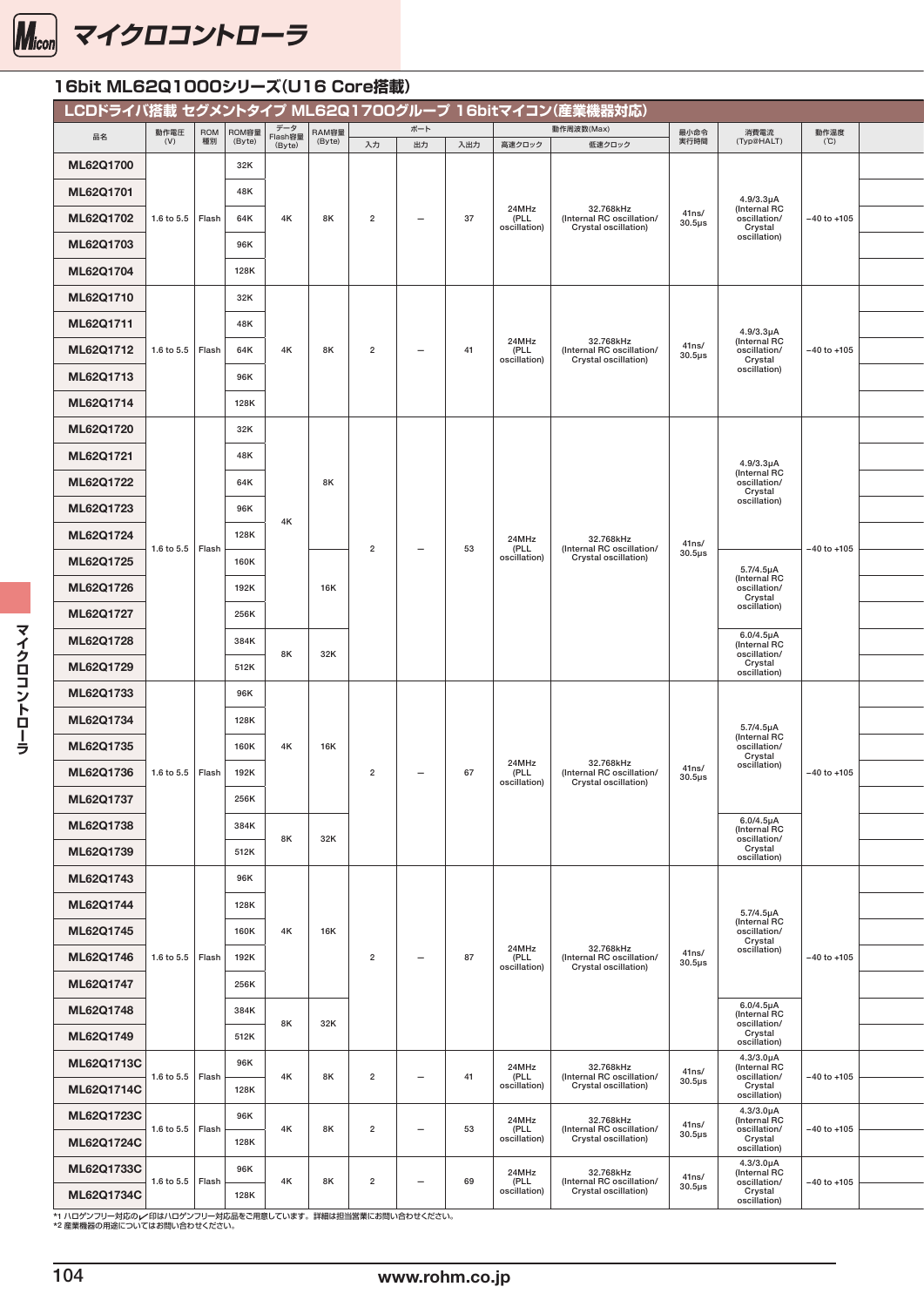

#### 16bit ML62Q1000シリーズ(U16 Core搭載) **LCDドライバ搭載 セグメントタイプ ML62Q1700グループ 16bitマイコン(産業機器対応)** 品名 動作電圧 (V) ROM 種別 ROM容量 (Byte) データ Flash容量 (Byte) RAM容量 (Byte) ポート 動作周波数(Max) 最小命令 最小命令<br>実行時間 消費電流<br>(Typ@HALT) 動作温度<br>(℃) 作温度 | 16bit | 16bit | 16bit | 16bit | 16bit | 16bit | 16bit | 16bit | 16bit | 16bit | 16bit | 16bit | 16bit |<br>(16bit | 16bit | 16bit | 16bit | 16bit | 16bit | 16bit | 16bit | 16bit | 16bit | 16bit | 16bit | 16bit | 16bit 入力 出力 入出力 高速クロック 伍速クロック 実行時間 (Typ@HALT) ('C) ML62Q1700 1.6 to 5.5 Flash 32K 4K | 8K | 2 | — | 37 24MHz (PLL oscillation) 32.768kHz (Internal RC oscillation/ Crystal oscillation) 41ns/ 30.5μs 4.9/3.3μA (Internal RC oscillation/ Crystal oscillation) −40 to +105 <sup>6</sup> ML62Q1701 48K P-TQFP 48K P-TQFP 48K P-TQFP 48K P-TQFP 48K P-TQFP 48K P-TQFP 48K P-TQFP 48K P-TQFP48-070-0.50-Z **ML62Q1702** 1.6 to 5.5 | Flash | 64K | 4K | 8K | 2 | – | 37 | (PLL | (Internal RC oscillation/ | 40.60-Callation/ | -40 to +105 | ML62Q1703 96K P-TQFP48-0707-0.50-ZK6 — ML62Q1704 128K P-TQFP48-0707-0.50-ZK6 — ML62Q1710 1.6 to 5.5  $\vert$  Flash 32K 4K | 8K | 2 | - | 41 24MHz (PLL oscillation) 32.768kHz (Internal RC oscillation/ Crystal oscillation) 41ns/  $30.5\mu s$ 4.9/3.3μA (Internal RC oscillation/ Crystal oscillation)  $-40$  to  $+105$ ML62Q1711 48K P-TQFP52-1010-0.65-ZK6 — **ML62Q1712** 1.6 to 5.5 | Flash | 64K | 4K | 8K | 2 | – | 41 | (PLL | (Internal RC oscillation/ | 40.6scillation/ | -40 to +105 | ML62Q1713 96K P-TQFP52-1010-0.65-ZK6 — ML62Q1714 128K P-TQFP52-1010-0.65-ZK6 — ML62Q1720 1.6 to 5.5  $|$  Flash 32K  $4k$ 8K  $2 \t - \t 53$ 24MHz (PLL oscillation) 32.768kHz (Internal RC oscillation/ Crystal oscillation) 41ns/ 30.5μs 4.9/3.3μA (Internal RC oscillation/ Crystal oscillation) −40 to +105 <sup>6</sup> ML62Q1721 48K 48K P-TQFP64-1010-0.50-ZK6-2K6-1010-0.50-ZK6-2K6-1010-0.50-ZK6-2K6- $ML62Q1722$  64K 8K 8K 8K 8K 8  $\overline{0.600}$  650  $\overline{0.600}$  650  $\overline{0.600}$  650  $\overline{0.600}$  650  $\overline{0.600}$  650  $\overline{0.600}$  650  $\overline{0.600}$  650  $\overline{0.600}$  650  $\overline{0.600}$  650  $\overline{0.600}$  650  $\overline{0.600}$  64K  $\overline{$ ML62Q1723 96K 96K P-TQFP64-1010-0.50-ZK6-1010-0.50-ZK6-1010-0.50-ZK6-1010-0.50-ZK6-1010-0.50-ZK6-1010-0.50-ZK66-ML62Q1724 128K P-TQFP64-1010-0.50-ZK6 ML62Q1725 | 160K 16K 5.7/4.5μA (Internal RC oscillation/ Crystal oscillation) ML62Q1726 192K P-TQFP64-1010-0.50-ZK6  $ML62Q1727$  256K 256K 256K P-TQFP64-1010-0.50-ZH  $SL_2$  256K 256  $SL_2$ ML62Q1728 384K 8K 32K 6.0/4.5μA (Internal RC oscillation/ Crystal oscillation)  $MLS2Q1729$  512K 512K 512K pages and the set of the set of the set of the set of the set of the set of the set of the set of the set of the set of the set of the set of the set of the set of the set of the set of the set o ML62Q1733 1.6 to 5.5  $\vert$  Flash 96K 4K 16K 2  $-$  67 24MHz (PLL oscillation) 32.768kHz (Internal RC oscillation/ Crystal oscillation) 41ns/ 30.5us 5.7/4.5μA (Internal RC oscillation/ Crystal<br>
oscillation oscillation)  $-40$  to +105 ML62Q1734 28K 128K P-QFP80-128K P-QFP80-1414-0.65-2K6 P-QFP80-1414-0.65-2K6 P-QFP80-1414-0.65-2K6 P-QFP80-1414-0.65-ML62Q1735 160K P-QFP80-1414-0.65-ZK6 — ML62Q1736 192K P-QFP80-1414-0.65-ZK6 — ML62Q1737 256K P-QFP80-1414-0.65-ZK6 — MI 62Q1738 384K 8K 32K 6.0/4.5μA (Internal RC oscillation/ Crystal oscillation) ML62Q1739 512K P-QFP80-1414-0.65-ZK6 — ML62Q1743 1.6 to 5.5  $\vert$  Flash 96K 4K 16K  $2 \mid - \mid 87$ 24MHz (PLL oscillation) 32.768kHz (Internal RC oscillation/ Crystal oscillation) 41ns/ 30.5μs 5.7/4.5μA (Internal RC<br>
oscillation)<br>
oscillation) −40 to +105 ML62Q1744 128K P-TQFP100-1414-0.50-ZK6  $ML62Q1745$  160K 4K 16K 16K 16K 2017 160  $\frac{univ}{100}$ ML62Q1746 1.6 to 5.5 Flash 192K | | | | 2 | - | 87  $\rho$  |  $\mu$  |  $\rho$  |  $\sigma$  |  $\sigma$  |  $\sigma$  |  $\sigma$  |  $\sigma$  |  $\sigma$  |  $\sigma$  |  $\sigma$  |  $\sigma$  |  $\sigma$  |  $\sigma$  |  $\sigma$  |  $\sigma$  |  $\sigma$  |  $\sigma$  |  $\sigma$  |  $\sigma$  |  $\sigma$  |  $\sigma$  |  $\sigma$  |  $\sigma$  |  $\$ ML62Q1747 256K P-TQFP100-1414-0.50-ZK6 ML62Q1748 384K 8K 32K 6.0/4.5μA (Internal RC oscillation/ Crystal oscillation)  $M$ L62Q1749 512K 512K 512K P-TQFP100-1414-0.50- $\frac{C}{\text{Cylstion}}$ ML62Q1713C 1.6 to 5.5  $\vert$  Flash 96K 4K | 8K | 2 | - | 41 24MHz (PLL oscillation) 32.768kHz (Internal RC oscillation/ Crystal oscillation) 41ns/ 30.5μs 4.3/3.0μA (Internal RC oscillation/ Crystal oscillation) −40 to +105 <sup>6</sup>  $MLEQ1714C$  128K 129K 129K 129K P-TQFP 128K 2010-0.55-2.1010-0.56-2.1010-0.56-2.1010-0.55-2.1010-0.65-2.1010-0.65-2.1010-0.65-2.1010-0.65-2.1010-0.65-2.1010-0.65-2.1010-0.65-2.1010-0.65-2.1010-0.65-2.1010-0.65-2.1010-0.65-ML62Q1723C 1.6 to 5.5  $\vert$  Flash 96K 4K 8K 2 — 53 24MHz (PLL oscillation) 32.768kHz (Internal RC oscillation/ Crystal oscillation) 41ns/ 30.5us 4.3/3.0μA (Internal RC oscillation/ Crystal oscillation) −40 to +105 <sup>6</sup> ML62Q1724C 128K P-TQFP64-1010-0.50-ZK6 ML62Q1733C 1.6 to 5.5  $\vert$  Flash 96K 4K | 8K | 2 | - | 69 24MHz (PLL oscillation) 32.768kHz (Internal RC oscillation/ Crystal oscillation) 41ns/ 30.5μs 4.3/3.0μA (Internal RC oscillation/ Crystal oscillation) −40 to +105 <sup>6</sup> ML62Q1734C 128K P-QFP80-1414-0.65-ZK6 —

-<br>\*1 ハロゲンフリー対応のレ 印はハロゲンフリー対応品をご用意しています。詳細は担当営業にお問い合わせください。 \*2 産業機器の用途についてはお問い合わせください。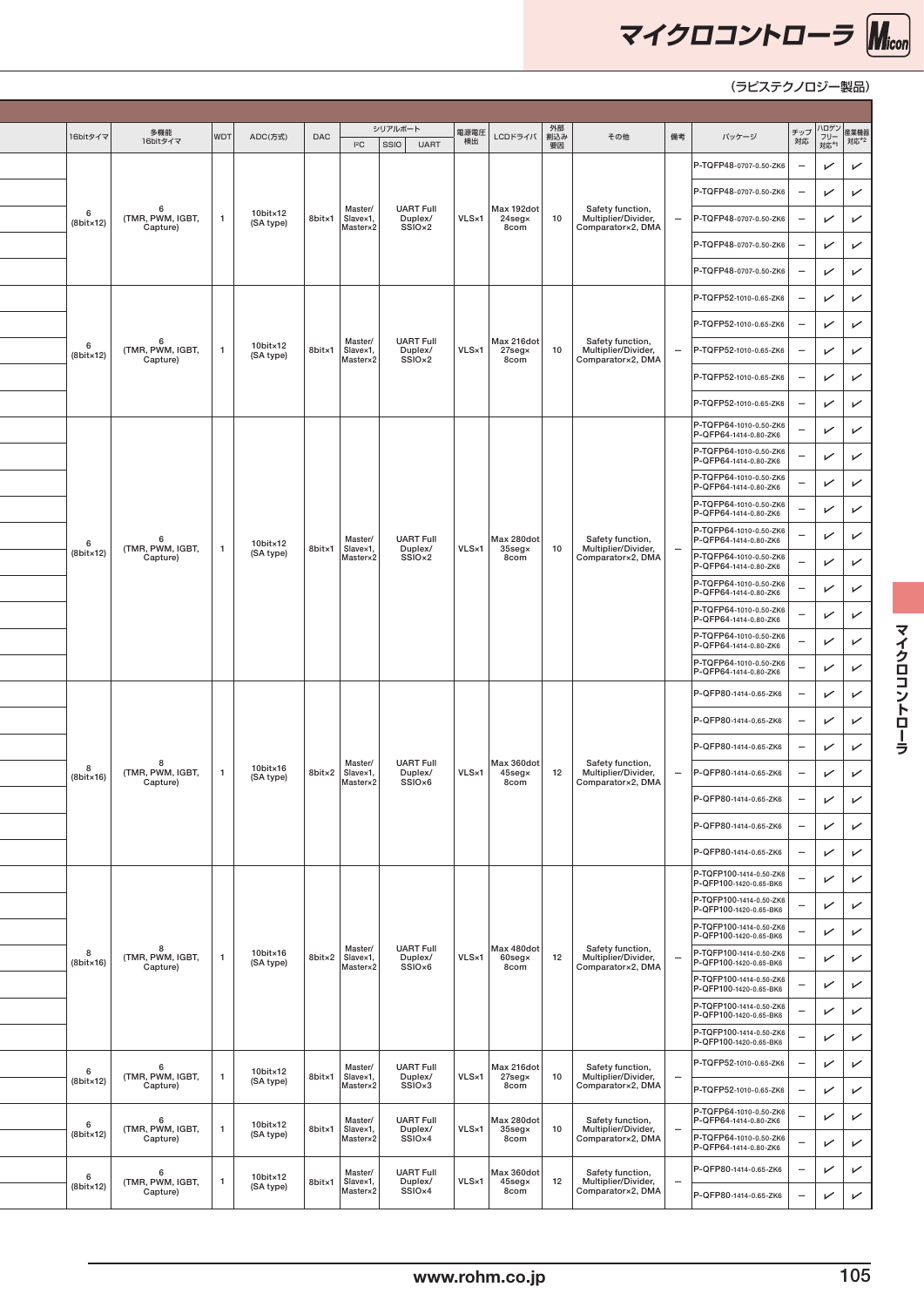

| 16bitタイマ                  | 多機能<br>16bitタイマ                     | ADC(方式)<br>WDT        | DAC    | <b>IsC</b>                             | シリアルボート<br>SSIO UART                              | 電源電圧<br>検出    | LCDドライバ                                 | 外部<br>割込み<br>要因 | その他<br>備考                                                    | バッケージ                                                                     |                                                                               | -<br>  チップ  ハロゲン   産業機器<br>  対応   フリー   対応*2<br>  対応 |
|---------------------------|-------------------------------------|-----------------------|--------|----------------------------------------|---------------------------------------------------|---------------|-----------------------------------------|-----------------|--------------------------------------------------------------|---------------------------------------------------------------------------|-------------------------------------------------------------------------------|------------------------------------------------------|
|                           |                                     |                       |        |                                        |                                                   |               |                                         |                 |                                                              | P-TQFP48-0707-0.50-ZK6                                                    | $\checkmark$<br>$\overline{\phantom{m}}$                                      | $\overline{\phantom{0}}$                             |
|                           |                                     |                       |        |                                        |                                                   |               |                                         |                 |                                                              | P-TQFP48-0707-0.50-ZK6                                                    | $\checkmark$<br>$\overline{\phantom{m}}$                                      | $\checkmark$                                         |
| 6<br>$(8bit \times 12)$   | - 6<br>(TMR, PWM, IGBT,<br>Capture) | 10bit×12<br>(SA type) |        | Master/<br>8bitx1 Slavex1,<br>Master×2 | <b>UART Full</b><br>Duplex/<br>SSIO <sub>×2</sub> | $VLS\times1$  | Max 192dot<br>24seg×<br>8com            | 10              | Safety function,<br>Multiplier/Divider,<br>Comparator×2, DMA | P-TQFP48-0707-0.50-ZK6                                                    | $\checkmark$<br>$\overline{\phantom{a}}$                                      | $\checkmark$                                         |
|                           |                                     |                       |        |                                        |                                                   |               |                                         |                 |                                                              | P-TQFP48-0707-0.50-ZK6                                                    | $\checkmark$<br>$\overline{\phantom{m}}$                                      | $\sqrt{ }$                                           |
|                           |                                     |                       |        |                                        |                                                   |               |                                         |                 |                                                              | P-TQFP48-0707-0.50-ZK6                                                    | $\checkmark$<br>$\overline{\phantom{m}}$                                      | $\checkmark$                                         |
|                           |                                     |                       |        |                                        |                                                   |               |                                         |                 |                                                              | P-TQFP52-1010-0.65-ZK6                                                    | $\checkmark$<br>$\overline{\phantom{a}}$                                      | $\checkmark$                                         |
|                           | - 6                                 |                       |        | Master/                                | <b>UART Full</b>                                  |               | Max 216dot                              |                 | Safety function,                                             | P-TQFP52-1010-0.65-ZK6                                                    | $\checkmark$<br>$\overline{\phantom{m}}$                                      | $\checkmark$                                         |
| - 6<br>$(8bit \times 12)$ | (TMR, PWM, IGBT,<br>Capture)        | 10bit×12<br>(SA type) | 8bit×1 | Slavex1,<br>Master×2                   | Duplex/<br>SSIO <sub>x2</sub>                     | VLS×1         | 27seg×<br>8com                          | 10              | Multiplier/Divider,<br>Comparator×2, DMA                     | P-TQFP52-1010-0.65-ZK6                                                    | $\checkmark$<br>$\overline{\phantom{m}}$                                      | $\checkmark$                                         |
|                           |                                     |                       |        |                                        |                                                   |               |                                         |                 |                                                              | P-TQFP52-1010-0.65-ZK6                                                    | $\checkmark$<br>-                                                             | $\checkmark$                                         |
|                           |                                     |                       |        |                                        |                                                   |               |                                         |                 |                                                              | P-TQFP52-1010-0.65-ZK6                                                    | $\checkmark$<br>$\overline{\phantom{a}}$                                      | $\checkmark$                                         |
|                           |                                     |                       |        |                                        |                                                   |               |                                         |                 |                                                              | P-TQFP64-1010-0.50-ZK6<br>P-QFP64-1414-0.80-ZK6                           | $\checkmark$                                                                  | $\checkmark$                                         |
|                           |                                     |                       |        |                                        |                                                   |               |                                         |                 |                                                              | P-TQFP64-1010-0.50-ZK6<br>P-QFP64-1414-0.80-ZK6<br>P-TQFP64-1010-0.50-ZK6 | $\checkmark$                                                                  | $\sqrt{ }$                                           |
|                           |                                     |                       |        |                                        |                                                   |               |                                         |                 |                                                              | P-QFP64-1414-0.80-ZK6<br>P-TQFP64-1010-0.50-ZK6                           | $\checkmark$                                                                  | $\checkmark$                                         |
|                           |                                     |                       |        |                                        |                                                   |               |                                         |                 |                                                              | P-QFP64-1414-0.80-ZK6<br>P-TQFP64-1010-0.50-ZK6                           | $\checkmark$<br>$\overline{\phantom{0}}$                                      | $\checkmark$                                         |
| - 6<br>$(8bit \times 12)$ | -6<br>(TMR, PWM, IGBT,              | 10bit×12<br>(SA type) | 8bit×1 | Master/<br>Slavex1.<br>Master×2        | <b>UART Full</b><br>Duplex/<br>SSIO <sub>×2</sub> | VLS×1         | Max 280dot<br>$35$ seg $\times$<br>8com | 10              | Safety function,<br>Multiplier/Divider,<br>Comparator×2, DMA | P-QFP64-1414-0.80-ZK6<br>P-TQFP64-1010-0.50-ZK6                           | $\checkmark$                                                                  | $\checkmark$                                         |
|                           | Capture)                            |                       |        |                                        |                                                   |               |                                         |                 |                                                              | P-QFP64-1414-0.80-ZK6<br>P-TQFP64-1010-0.50-ZK6                           | $\checkmark$                                                                  | $\checkmark$                                         |
|                           |                                     |                       |        |                                        |                                                   |               |                                         |                 |                                                              | P-QFP64-1414-0.80-ZK6<br>P-TQFP64-1010-0.50-ZK6                           | $\checkmark$                                                                  | $\checkmark$                                         |
|                           |                                     |                       |        |                                        |                                                   |               |                                         |                 |                                                              | P-QFP64-1414-0.80-ZK6<br>P-TQFP64-1010-0.50-ZK6                           | $\checkmark$                                                                  | $\checkmark$                                         |
|                           |                                     |                       |        |                                        |                                                   |               |                                         |                 |                                                              | P-QFP64-1414-0.80-ZK6<br>P-TQFP64-1010-0.50-ZK6                           | $\checkmark$<br>$\overline{\phantom{0}}$                                      | $\checkmark$                                         |
|                           |                                     |                       |        |                                        |                                                   |               |                                         |                 |                                                              | P-QFP64-1414-0.80-ZK6                                                     | $\checkmark$                                                                  | $\sqrt{ }$                                           |
|                           |                                     |                       |        |                                        |                                                   |               |                                         |                 |                                                              | P-QFP80-1414-0.65-ZK6                                                     | $\checkmark$<br>$\overline{\phantom{0}}$                                      | $\checkmark$<br>$\checkmark$                         |
|                           |                                     |                       |        |                                        |                                                   |               |                                         |                 |                                                              | P-QFP80-1414-0.65-ZK6<br>P-QFP80-1414-0.65-ZK6                            | $\checkmark$<br>$\qquad \qquad -$<br>$\checkmark$<br>$\overline{\phantom{m}}$ | $\checkmark$                                         |
| <b>8</b>                  | - 8<br>(TMR, PWM, IGBT,             | 10bit×16              |        | Master/<br>8bit×2 Slave×1,             | <b>UART Full</b><br>Duplex/                       | VLS×1         | Max 360dot<br>45seg×                    | 12              | Safety function,<br>Multiplier/Divider,                      | P-QFP80-1414-0.65-ZK6                                                     | $\checkmark$<br>$\overline{\phantom{0}}$                                      | $\checkmark$                                         |
| $(8bit \times 16)$        | Capture)                            | (SA type)             |        | Master×2                               | SSIO <sub>x6</sub>                                |               | 8com                                    |                 | Comparator×2, DMA                                            | P-QFP80-1414-0.65-ZK6                                                     | $-$ .                                                                         | $\overline{\phantom{0}}$<br>$\sqrt{ }$               |
|                           |                                     |                       |        |                                        |                                                   |               |                                         |                 |                                                              | P-QFP80-1414-0.65-ZK6                                                     | $\checkmark$<br>$\overline{\phantom{m}}$                                      | $\checkmark$                                         |
|                           |                                     |                       |        |                                        |                                                   |               |                                         |                 |                                                              | P-QFP80-1414-0.65-ZK6                                                     | $\checkmark$                                                                  | $\checkmark$                                         |
|                           |                                     |                       |        |                                        |                                                   |               |                                         |                 |                                                              | P-TQFP100-1414-0.50-ZK6<br>P-QFP100-1420-0.65-BK6                         | $\checkmark$                                                                  | $\sqrt{ }$                                           |
|                           |                                     |                       |        |                                        |                                                   |               |                                         |                 |                                                              | P-TQFP100-1414-0.50-ZK6<br>P-QFP100-1420-0.65-BK6                         | $\checkmark$                                                                  | $\checkmark$                                         |
|                           |                                     |                       |        |                                        |                                                   |               |                                         |                 |                                                              | P-TQFP100-1414-0.50-ZK6<br>P-QFP100-1420-0.65-BK6                         | $\checkmark$                                                                  | $\checkmark$                                         |
| 8<br>$(8bit \times 16)$   | - 8<br>(TMR, PWM, IGBT,<br>Capture) | 10bit×16<br>(SA type) |        | Master/<br>8bitx2 Slavex1,<br>Master×2 | <b>UART Full</b><br>Duplex/<br>SSIO <sub>x6</sub> | VLS×1         | Max 480dot<br>$60$ seg $\times$<br>8com | 12              | Safety function,<br>Multiplier/Divider,<br>Comparator×2, DMA | P-TQFP100-1414-0.50-ZK6<br>P-QFP100-1420-0.65-BK6                         | $\checkmark$<br>۰                                                             | $\sqrt{ }$                                           |
|                           |                                     |                       |        |                                        |                                                   |               |                                         |                 |                                                              | P-TQFP100-1414-0.50-ZK6<br>P-QFP100-1420-0.65-BK6                         | $\checkmark$<br>$\overline{\phantom{a}}$                                      | $\checkmark$                                         |
|                           |                                     |                       |        |                                        |                                                   |               |                                         |                 |                                                              | P-TQFP100-1414-0.50-ZK6<br>P-QFP100-1420-0.65-BK6                         | $\checkmark$                                                                  | $\checkmark$                                         |
|                           |                                     |                       |        |                                        |                                                   |               |                                         |                 |                                                              | P-TQFP100-1414-0.50-ZK6<br>P-QFP100-1420-0.65-BK6                         | $\checkmark$                                                                  | $\checkmark$                                         |
| 6                         | - 6<br>(TMR, PWM, IGBT,             | 10bit×12              | 8bit×1 | Master/                                | <b>UART Full</b>                                  | VLS×1         | Max 216dot<br>27seg×                    | 10              | Safety function,<br>Multiplier/Divider,                      | P-TQFP52-1010-0.65-ZK6                                                    | $\checkmark$<br>$-$                                                           | $\checkmark$                                         |
| $(8bit \times 12)$        | Capture)                            | (SA type)             |        | Slavex1,<br>Master×2                   | Duplex/<br>SSIO <sub>x3</sub>                     |               | 8com                                    |                 | Comparator×2, DMA                                            | P-TQFP52-1010-0.65-ZK6                                                    | $\checkmark$<br>$\overline{\phantom{a}}$                                      | $\sqrt{ }$                                           |
| - 6                       | - 6<br>(TMR, PWM, IGBT,             | 10bit×12              | 8bit×1 | Master/<br>Slavex1,                    | <b>UART Full</b><br>Duplex/                       | $VLS\times 1$ | Max 280dot<br>$35$ seg $\times$         | 10              | Safety function,<br>Multiplier/Divider,                      | P-TQFP64-1010-0.50-ZK6<br>P-QFP64-1414-0.80-ZK6                           | $\checkmark$<br>$\qquad \qquad -$                                             | $\checkmark$                                         |
| $(8bit \times 12)$        | Capture)                            | (SA type)             |        | Master×2                               | SSIO <sub>×4</sub>                                |               | 8com                                    |                 | Comparator×2, DMA                                            | P-TQFP64-1010-0.50-ZK6<br>P-QFP64-1414-0.80-ZK6                           | $\checkmark$<br>$\overline{\phantom{0}}$                                      | $\checkmark$                                         |
| - 6                       | - 6<br>(TMR, PWM, IGBT,             | 10bit×12              | 8bit×1 | Master/<br>Slavex1,                    | <b>UART Full</b><br>Duplex/                       | $VLS\times1$  | Max 360dot<br>45seg×                    | 12              | Safety function,<br>Multiplier/Divider,                      | P-QFP80-1414-0.65-ZK6                                                     | $\checkmark$<br>$\qquad \qquad$                                               | $\checkmark$                                         |
| (8bit×12)                 | Capture)                            | (SA type)             |        | Master×2                               | SSIO <sub>x4</sub>                                |               | 8com                                    |                 | Comparator×2, DMA                                            | P-QFP80-1414-0.65-ZK6                                                     | $\qquad \qquad -$                                                             | $\overline{\phantom{0}}$<br>$\checkmark$             |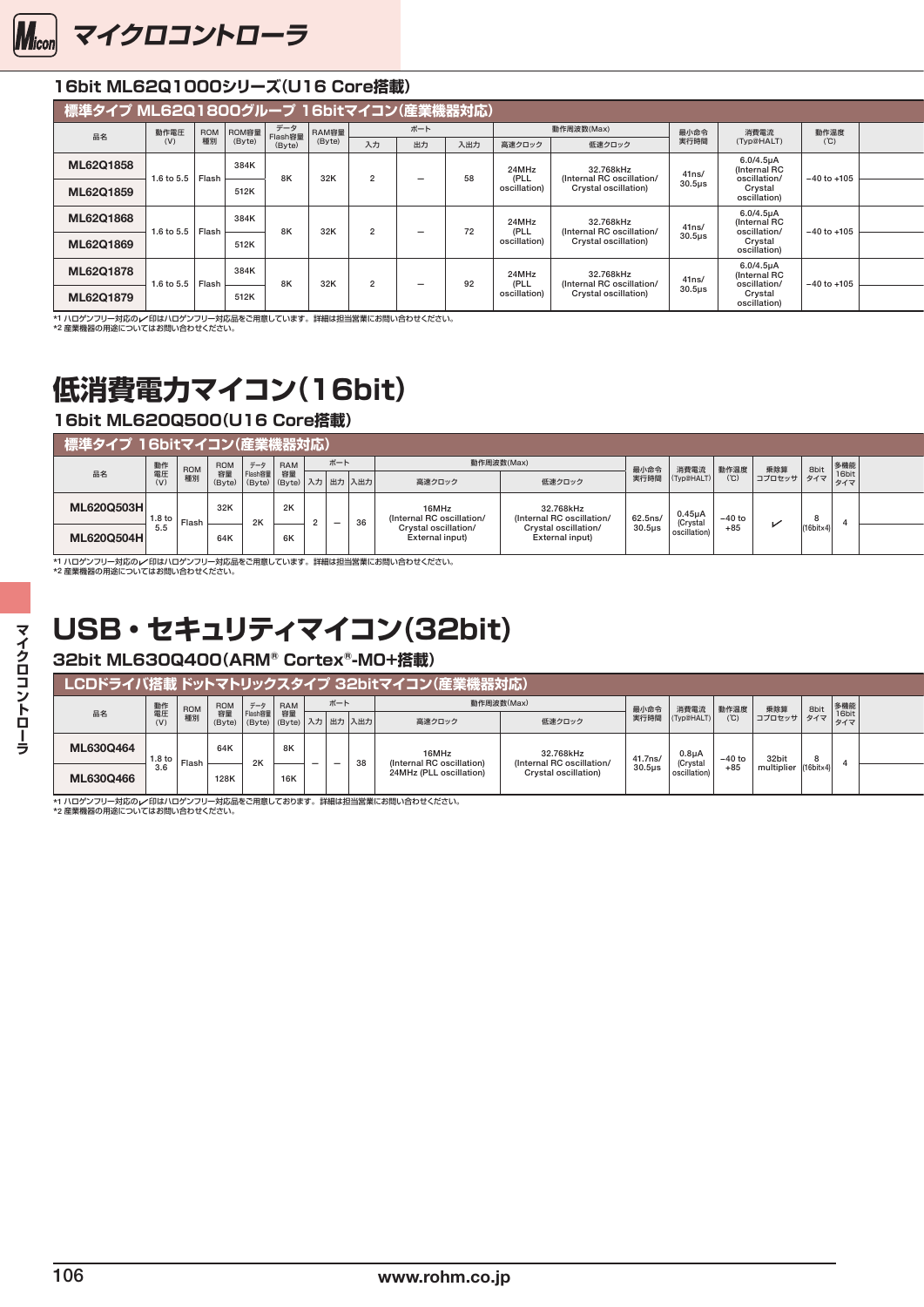<span id="page-6-0"></span>

### 16bit ML62Q1000シリーズ(U16 Core搭載)

| 標準タイプ ML62Q1800グループ 16bitマイコン(産業機器対応) |                    |                              |      |                                             |    |                          |     |                      |                                                   |                     |                                                        |                 |  |
|---------------------------------------|--------------------|------------------------------|------|---------------------------------------------|----|--------------------------|-----|----------------------|---------------------------------------------------|---------------------|--------------------------------------------------------|-----------------|--|
| 品名                                    | 動作電圧<br>(V)        | ROM容量<br>(Byte)<br>ROM<br>種別 |      | データ<br>RAM容量<br>Flash容量<br>(Byte)<br>(Byte) |    | ボート                      |     |                      | 動作周波数(Max)                                        | 最小命令<br>実行時間        | 消費電流                                                   | 動作温度<br>(℃)     |  |
|                                       |                    |                              |      |                                             | 入力 | 出力                       | 入出力 | 高速クロック               | 低速クロック                                            |                     | (Typ@HALT)                                             |                 |  |
| ML62Q1858                             | 1.6 to 5.5   Flash | 384K                         |      | 8K<br>32K                                   |    | $\overline{\phantom{0}}$ | 58  | 24MHz<br>(PLL        | 32.768kHz<br>(Internal RC oscillation/            | 41ns/               | $6.0/4.5\mu A$<br>(Internal RC<br>oscillation/         | $-40$ to $+105$ |  |
| ML62Q1859                             |                    |                              | 512K |                                             |    |                          |     | oscillation)         | Crystal oscillation)                              | 30.5 <sub>µ</sub> s | Crystal<br>oscillation)                                |                 |  |
| ML62Q1868                             |                    | 384K                         |      |                                             |    |                          |     | 24MHz                | 32.768kHz                                         | 41ns/               | $6.0/4.5\mu A$<br>(Internal RC                         |                 |  |
| ML62Q1869                             | 1.6 to 5.5   Flash |                              | 512K | 8K<br>32K                                   |    | $\overline{\phantom{0}}$ | 72  | (PLL<br>oscillation) | (Internal RC oscillation/<br>Crystal oscillation) | $30.5µ$ s           | oscillation,<br>Crystal<br>oscillation)                | $-40$ to $+105$ |  |
| ML62Q1878                             |                    |                              | 384K |                                             |    |                          |     | 24MHz                | 32.768kHz                                         | 41ns/               | 6.0/4.5 <sub>µ</sub> A<br>(Internal RC<br>oscillation/ |                 |  |
| ML62Q1879                             | 1.6 to 5.5   Flash |                              | 512K | 32K<br>8K                                   |    | $\overline{\phantom{0}}$ | 92  | (PLL<br>oscillation) | (Internal RC oscillation/<br>Crystal oscillation) | 30.5us              | Crystal<br>oscillation)                                | $-40$ to $+105$ |  |

\*1 ハロゲンフリー対応のγ/印はハロゲンフリー対応品をご用意しています。詳細は担当営業にお問い合わせください。<br>\*2 産業機器の用途についてはお問い合わせください。

# **低消費電力マイコン(16bit)**

### 16bit ML620Q500(U16 Core搭載)

| ▌標準タイプ 16bitマイコン(産業機器対応) |               |                       |           |     |        |                                     |                                         |                                                                |                     |                                                    |                 |                                                    |                       |  |
|--------------------------|---------------|-----------------------|-----------|-----|--------|-------------------------------------|-----------------------------------------|----------------------------------------------------------------|---------------------|----------------------------------------------------|-----------------|----------------------------------------------------|-----------------------|--|
|                          | 動作            | ROM                   | ROM<br>容量 | データ |        | ボート                                 |                                         | 動作周波数(Max)                                                     |                     |                                                    |                 |                                                    |                       |  |
| 品名                       | (V)           | <b>\$66 PH</b><br>性カリ | (Byte)    |     |        | \   (Byte)   (Byte)   入力   出力   入出力 | 高速クロック                                  | 低速クロック                                                         |                     | │ 最小命令 │ 消費電流 │ 動作温度<br>│ 実行時間 │(Typ@HALT)│    (℃) |                 | <sub>ま</sub> 乗除算    8bit  8機能<br>コプロセッサ  タイマ   9イマ |                       |  |
| ML620Q503H               |               | 1.8 to Flash          | 32K       | 2K  | $\sim$ | $-$ 36                              | 16MHz<br>(Internal RC oscillation/      | 32.768kHz<br>(Internal RC oscillation/<br>Crystal oscillation/ | $62.5ns/$<br>30.5µs | 0.45uA                                             | $-40$ to<br>+85 |                                                    |                       |  |
| <b>ML620Q504H</b>        | 5 5 L<br>ິບ.ບ |                       | 64K       |     | 6K     |                                     | Crystal oscillation/<br>External input) | External input)                                                |                     | (Crystal<br>oscillation                            |                 |                                                    | $(16$ bit $\times$ 4) |  |

\*1 ハロゲンフリー対応の 印はハロゲンフリー対応品をご用意しています。詳細は担当営業にお問い合わせください。 \*2 産業機器の用途についてはお問い合わせください。

## **USB・セキュリティマイコン(32bit)**

### 32bit ML630Q400(ARM® Cortex®-MO+搭載)

| LCDドライバ搭載 |                                                                |     |      |                             |            |                          |                          |                            | 載 ドットマトリックスタイプ 32bitマイコン(産)        | 器对応)                                              |              |                             |               |                                    |                         |  |
|-----------|----------------------------------------------------------------|-----|------|-----------------------------|------------|--------------------------|--------------------------|----------------------------|------------------------------------|---------------------------------------------------|--------------|-----------------------------|---------------|------------------------------------|-------------------------|--|
|           | 動作                                                             | ROM | ROM  |                             | RAM        |                          | ボート                      |                            |                                    | 動作周波数(Max)                                        |              |                             |               |                                    |                         |  |
| 品名        | 電圧<br>(V)                                                      | 惟かり |      | 容量 Flash容量<br>(Byte) (Byte) |            |                          |                          | )   (Byte)   入力   出力   入出力 | 高速クロック                             | 低速クロック                                            | 最小命令<br>実行時間 | 消費電流 動作温度<br>(Typ@HALT) (℃) |               | ま   乗除算   8bit   ↓<br>  コプロセッサ タイマ | 多機能<br>  16bit<br>  タイマ |  |
| ML630Q464 | $\left  \frac{1.8 \text{ to}}{0.16 \text{ m/s}} \right $ Flash |     | 64K  | 2K                          | 8K         |                          |                          |                            | 16MHz<br>(Internal RC oscillation) | 32.768kHz                                         | 41.7ns/      | 0.8 <sub>u</sub> A          |               | 32bit                              |                         |  |
| ML630Q466 | 3.D                                                            |     | 128K |                             | <b>16K</b> | $\overline{\phantom{a}}$ | $\overline{\phantom{0}}$ | 38                         | 24MHz (PLL oscillation)            | (Internal RC oscillation/<br>Crystal oscillation) | $30.5\mu s$  | (Crystal<br>  oscillation   | –40 to<br>+85 | multiplier (16bitx4)               |                         |  |

\*1 ハロゲンフリー対応のγ/印はハロゲンフリー対応品をご用意しております。詳細は担当営業にお問い合わせください。<br>\*2 産業機器の用途についてはお問い合わせください。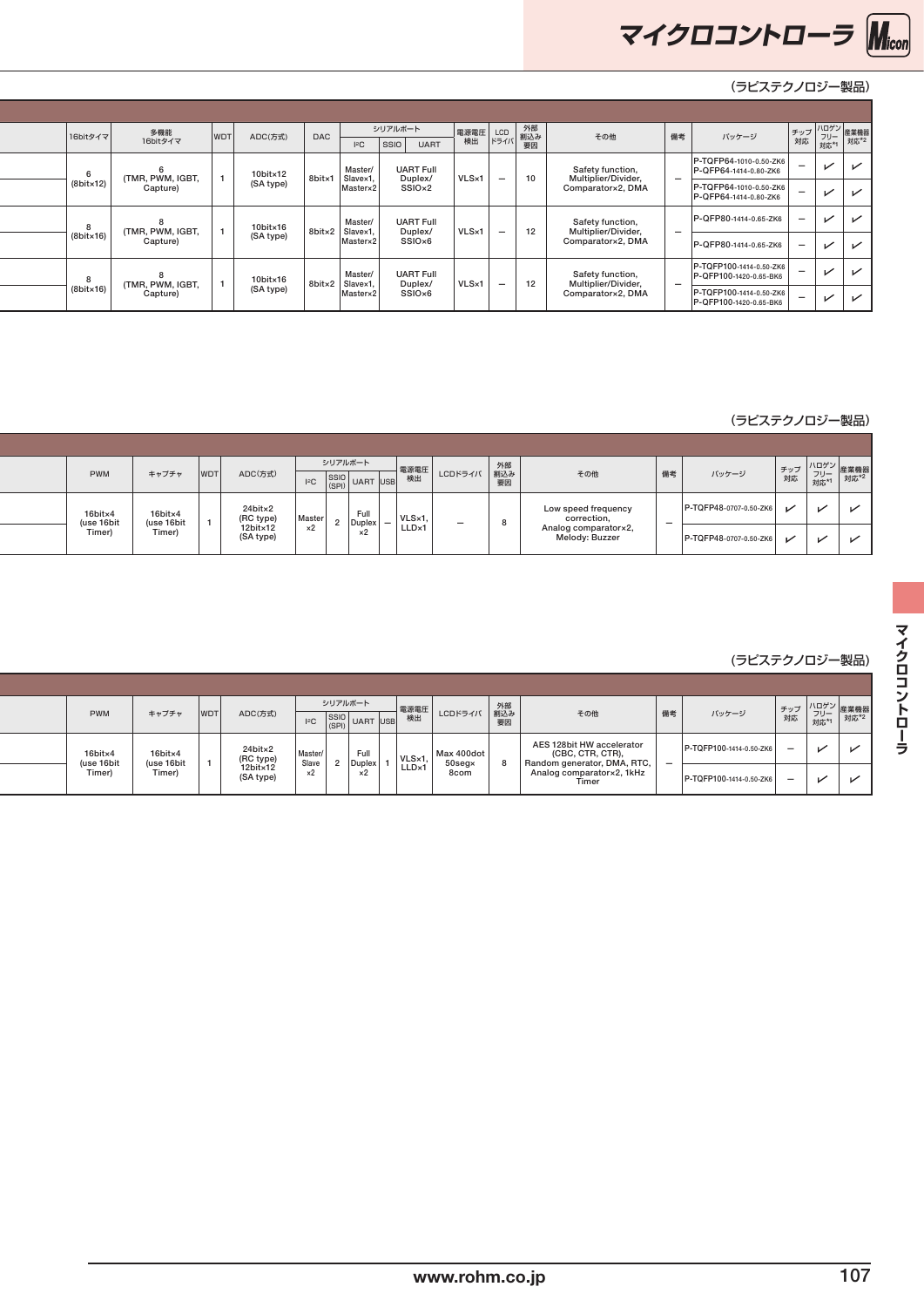

|  | 16bitタイマ  | 多機能<br>16bitタイマ  | <b>WDT</b> | ADC(方式)               | <b>DAC</b> | 2C                              | シリアルボート<br>SSIO UART |       |                          | 電源電圧 LCD 外部<br>検出 ドライバ 割込み | その他                                      | バッケージ<br>備考                                       |                          | │ チップ │ハロゲン│<br>│ チップ │ フリー│産業機器<br>│ 対応 │ 対応*1│ 対応*2 |              |
|--|-----------|------------------|------------|-----------------------|------------|---------------------------------|----------------------|-------|--------------------------|----------------------------|------------------------------------------|---------------------------------------------------|--------------------------|-------------------------------------------------------|--------------|
|  |           | (TMR, PWM, IGBT, |            | 10bit×12<br>(SA type) | 8bitx1     | Master/<br>Slave×1,<br>Master×2 | <b>UART Full</b>     | VLS×1 | $\overline{\phantom{0}}$ | 10                         | Safety function,                         | P-TQFP64-1010-0.50-ZK6<br>P-QFP64-1414-0.80-ZK6   |                          | $\checkmark$                                          | $\checkmark$ |
|  | (8bit×12) | Capture)         |            |                       |            |                                 | Duplex/<br>SSIO×2    |       |                          |                            | Multiplier/Divider,<br>Comparator×2, DMA | P-TQFP64-1010-0.50-ZK6<br>P-QFP64-1414-0.80-ZK6   | $\overline{\phantom{0}}$ | $\sqrt{2}$                                            | $\checkmark$ |
|  |           | (TMR, PWM, IGBT, |            | 10bit×16<br>(SA type) |            | Master<br>8bitx2 Slavex1,       | <b>UART Full</b>     | VLS×1 | $\overline{\phantom{a}}$ | 12                         | Safety function,<br>Multiplier/Divider,  | P-QFP80-1414-0.65-ZK6                             | $\overline{\phantom{0}}$ | $\sqrt{ }$                                            | $\checkmark$ |
|  | (8bit×16) | Capture)         |            |                       |            | Master×2                        | Duplex/<br>SSIO×6    |       |                          |                            | Comparator×2, DMA                        | P-QFP80-1414-0.65-ZK6                             |                          | $\sqrt{ }$                                            | $\checkmark$ |
|  |           | (TMR, PWM, IGBT, |            | 10bit×16<br>(SA type) |            | Master<br>8bit×2 Slave×1        | <b>UART Full</b>     | VLS×1 | $\overline{\phantom{0}}$ | 12                         | Safety function,                         | P-TQFP100-1414-0.50-ZK6<br>P-QFP100-1420-0.65-BK6 |                          | $\sqrt{ }$                                            | $\sqrt{ }$   |
|  | (8bit×16) | Capture)         |            |                       |            | Master×2                        | Duplex/<br>SSIO×6    |       |                          |                            | Multiplier/Divider,<br>Comparator×2, DMA | P-TQFP100-1414-0.50-ZK6<br>P-QFP100-1420-0.65-BK6 | $\overline{\phantom{a}}$ | $\overline{\phantom{0}}$                              | $\checkmark$ |

#### **16bit Music Music Music Music Music Music Music Music Music Music Music Music Music Music Music Music Music M**usi

|  | <b>PWM</b>            | キャプチャ                 | <b>WDTI</b> | ADC(方式)                          | $- - - -$<br>$\left  \begin{matrix} 2 & 3 \\ 2 & 5 \end{matrix} \right $ UART USB | シリアルボート        |                                             | __  電源電圧   LCDドライバ   割込み  <br><sub>ISR</sub>   検出   LCDドライバ   割込み | 要因 | その他                                    | 備考 | バッケージ                  |        | - チップ   フリー<br>- 対応   対応*1 | 「ハロゲン 産業機器<br>- フリー 産業機器<br>- <sub>ホ*1</sub> 対応*2 |
|--|-----------------------|-----------------------|-------------|----------------------------------|-----------------------------------------------------------------------------------|----------------|---------------------------------------------|-------------------------------------------------------------------|----|----------------------------------------|----|------------------------|--------|----------------------------|---------------------------------------------------|
|  | 16bit×4<br>(use 16bit | 16bit×4<br>(use 16bit |             | 24bit×2<br>(RC type)<br>12bit×12 | Master                                                                            | Full<br>Duplex | $ VLS \times 1$<br>$\overline{\phantom{a}}$ |                                                                   |    | Low speed frequency<br>correction,     |    | P-TQFP48-0707-0.50-ZK6 | $\sim$ | $\overline{\phantom{a}}$   |                                                   |
|  | Timer)                | Timer)                |             | (SA type)                        | $\times 2$                                                                        | ᄾ              | LLD×1                                       |                                                                   |    | Analog comparator×2,<br>Melody: Buzzer |    | P-TQFP48-0707-0.50-ZK6 | び      | $\checkmark$               | ↙                                                 |

#### **32bit ML630Q400(ARM® Cortex®-M0+搭載)** (ラピステクノロジー製品)

| <b>PWM</b>            | キャプチャ                | ADC(方式)<br><b>WDT</b>                        | シリアルボート<br>000<br>$\left  \begin{array}{cc} 1^{\circ}C & \frac{5510}{1001} \end{array} \right $ UART USB |                | 電源電圧<br>横出<br>LCDドライバ 割込み                | 外部<br>要因 | その他                                                                          | 備考                       | バッケージ                   |  | │ チップ │ <sup>ハロクノ</sup> │産業機器<br>│ 対応 │ フリー│産業機器 |
|-----------------------|----------------------|----------------------------------------------|----------------------------------------------------------------------------------------------------------|----------------|------------------------------------------|----------|------------------------------------------------------------------------------|--------------------------|-------------------------|--|--------------------------------------------------|
| 16bit×4<br>(use 16bit | 16bit×4<br>(use 16bi | $24$ bit $\times 2$<br>(RC type)<br>12bit×12 | Master.<br>$\frac{1}{2}$ Slave 2,                                                                        | Full<br>Duplex | Max 400dot<br>VLSx1<br>$50$ seg $\times$ |          | AES 128bit HW accelerator<br>(CBC, CTR, CTR),<br>Random generator, DMA, RTC, | $\overline{\phantom{0}}$ | P-TQFP100-1414-0.50-ZK6 |  |                                                  |
| Timer)                | Timer)               | (SA type)                                    | ×2                                                                                                       |                | LLD×1<br>8com                            |          | Analog comparator×2, 1kHz<br>Timer                                           |                          | P-TQFP100-1414-0.50-ZK6 |  |                                                  |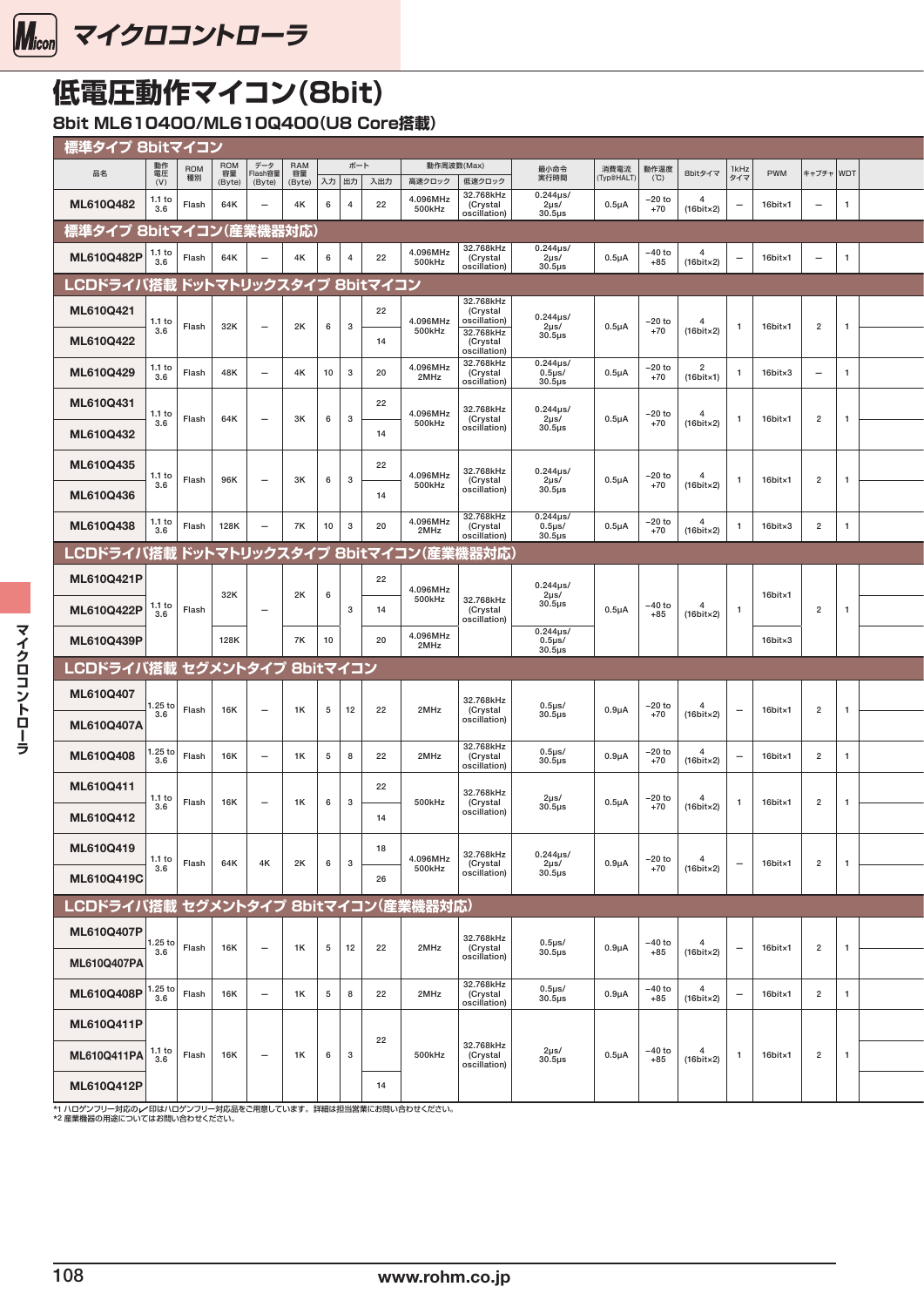<span id="page-8-0"></span>

# **低電圧動作マイコン(8bit)**

**8bit ML610400/ML610Q400(U8 Core搭載)** 

|                                                                                                                           | <mark>■標準タイ</mark> プ 8bitマイコン                                         |            |                          |                      |                                                                                                                            |                    |                                         |                                           |                             |                 |                                                                  |                     |                                        |  |  |
|---------------------------------------------------------------------------------------------------------------------------|-----------------------------------------------------------------------|------------|--------------------------|----------------------|----------------------------------------------------------------------------------------------------------------------------|--------------------|-----------------------------------------|-------------------------------------------|-----------------------------|-----------------|------------------------------------------------------------------|---------------------|----------------------------------------|--|--|
| 品名                                                                                                                        | 動作<br>電圧<br>(V)<br>ROM<br>種別                                          |            |                          |                      | │ ROM │ データ │ RAM │ │ ボート<br>│ 容量 │ Flash容量 │ 容量 │ │ │ │ │ │ │ │ │ │ │ │ │ │<br>│ (Byte) │ (Byte) │ (Byte) │ 入力 │ 出力 │ 入出力 |                    | 動作周波数(Max)<br>高速クロック 低速クロック             | 最小命令<br>実行時間                              | 消費電流 動作温度<br>(Typ@HALT) (℃) |                 | 1kHz<br>8bitタイマ                                                  | PWM                 | キャプチャ WDT                              |  |  |
| ML610Q482                                                                                                                 | 1.1 to $ $<br>Flash<br>3.6                                            | 64K        | $\overline{\phantom{a}}$ | 4K<br>6              | 22<br>$-4$                                                                                                                 | 4.096MHz<br>500kHz | 32.768kHz<br>(Crystal<br>oscillation)   | $0.244\mu s$<br>2µs/<br>$30.5\mu s$       | $0.5\mu A$                  | $-20$ to<br>+70 | $\overline{4}$<br>$\overline{\phantom{a}}$<br>$(16bit \times 2)$ | 16bit×1             | $\overline{1}$<br>$-$ .                |  |  |
| 標準タイプ 8bitマイコン(産業機器対応)                                                                                                    |                                                                       |            |                          |                      |                                                                                                                            |                    |                                         |                                           |                             |                 |                                                                  |                     |                                        |  |  |
| <b>ML610Q482P</b> $\begin{array}{ c c c } \hline 1.1 \text{ to} & \text{Flash} \end{array}$                               |                                                                       | 64K        | $\sim$                   | 4K                   | 22<br>6 4                                                                                                                  | 4.096MHz<br>500kHz | 32.768kHz<br>(Crystal<br>oscillation)   | $0.244 \mu s$<br>2μs/<br>30.5μs           | $0.5\mu A$                  | $-40$ to<br>+85 | $\overline{4}$<br>$(16bit \times 2)$                             | 16bit×1             | $\mathbf{1}$<br>$-$                    |  |  |
| LCDドライバ搭載 ドットマトリックスタイプ 8bitマイコン                                                                                           |                                                                       |            |                          |                      |                                                                                                                            |                    |                                         |                                           |                             |                 |                                                                  |                     |                                        |  |  |
| ML610Q421                                                                                                                 | 1.1 to                                                                |            |                          | 2K                   | 22<br>6 3                                                                                                                  | 4.096MHz           | 32.768kHz<br>(Crystal<br>oscillation)   | $0.244\mu s$                              |                             |                 | $\overline{\phantom{a}}$                                         |                     |                                        |  |  |
| ML610Q422                                                                                                                 | Flash<br>3.6                                                          | 32K        | $\overline{\phantom{a}}$ |                      | 14                                                                                                                         | 500kHz             | 32.768kHz<br>(Crystal<br>oscillation)   | 2µs/<br>$30.5\mu s$                       | $0.5\mu A$                  | $-20$ to<br>+70 | $(16bit \times 2)$                                               | 16bit×1             | $\overline{2}$                         |  |  |
| ML610Q429                                                                                                                 | $\frac{1.1 \text{ to}}{3.6}$<br>Flash                                 | 48K        | $-$                      | 4K                   | $10 \mid 3 \mid$<br>20                                                                                                     | 4.096MHz<br>2MHz   | 32.768kHz<br>(Crystal<br>oscillation)   | $0.244 \mu s$<br>$0.5\mus$<br>$30.5\mu s$ | $0.5\mu A$                  | $-20$ to<br>+70 | $\overline{\mathbf{2}}$<br>$(16bit \times 1)$                    | $16$ bit $\times 3$ | $\overline{\phantom{0}}$               |  |  |
| ML610Q431<br>ML610Q432                                                                                                    | 1.1 to $ $<br>Flash<br>3.6                                            | 64K        | $\overline{\phantom{0}}$ | 3K<br>6              | 22<br>$\cdot$ 3<br>14                                                                                                      | 4.096MHz<br>500kHz | 32.768kHz<br>(Crystal<br>oscillation)   | $0.244 \mu s$<br>$2\mu s/$<br>$30.5\mu s$ | $0.5\mu A$                  | $-20$ to<br>+70 | $\overline{4}$<br>$(16bit \times 2)$                             | 16bit×1             | $\overline{2}$                         |  |  |
| ML610Q435<br>ML610Q436                                                                                                    | 1.1 to<br>Flash<br>3.6                                                | 96K        | $-$                      | 3K                   | 22<br>6 3<br>14                                                                                                            | 4.096MHz<br>500kHz | 32.768kHz<br>(Crystal<br>oscillation)   | $0.244\mu s$<br>2µs/<br>$30.5 \mu s$      | $0.5\mu A$                  | –20 to<br>$+70$ | $\overline{4}$<br>$(16bit \times 2)$                             | 16bit×1             | $\overline{2}$                         |  |  |
| ML610Q438                                                                                                                 | $\begin{array}{ c} 1.1 \text{ to} \\ 3.6 \end{array}$<br>Flash        | 128K       | $\overline{\phantom{0}}$ | 7K<br>10             | 20<br>3 <sup>1</sup>                                                                                                       | 4.096MHz<br>2MHz   | 32.768kHz<br>(Crystal                   | $0.244\mu s$<br>$0.5\mus$                 | $0.5\mu A$                  | $-20$ to<br>+70 | $\frac{4}{1}$                                                    | $16$ bit $\times 3$ | $\overline{2}$<br>$\overline{1}$       |  |  |
| LCDドライバ搭載 ドットマトリックスタイプ 8bitマイコン(産業機器対応)                                                                                   |                                                                       |            |                          |                      |                                                                                                                            |                    | oscillation)                            | $30.5\mu s$                               |                             |                 | $(16bit \times 2)$                                               |                     |                                        |  |  |
| ML610Q421P                                                                                                                |                                                                       |            |                          |                      | 22                                                                                                                         |                    |                                         |                                           |                             |                 |                                                                  |                     |                                        |  |  |
| ML610Q422P                                                                                                                | $\begin{array}{ c c } 1.1 \text{ to } 3.6 \end{array}$ Flash          | 32K        | $\overline{\phantom{a}}$ | 2K<br>6              | 3 I<br>14                                                                                                                  | 4.096MHz<br>500kHz | 32.768kHz<br>(Crystal<br>oscillation)   | $0.244 \mu s / 2 \mu s /$<br>$30.5\mu s$  | $0.5\mu A$                  | $-40$ to<br>+85 | $\overline{4}$<br>$(16bit \times 2)$                             | 16bit×1             | $\overline{2}$                         |  |  |
| ML610Q439P                                                                                                                |                                                                       | 128K       |                          | 7K<br>10             | 20                                                                                                                         | 4.096MHz<br>2MHz   |                                         | $0.244 \mu s$<br>$0.5\mus$<br>$30.5\mu$ s |                             |                 |                                                                  | $16$ bit $\times 3$ |                                        |  |  |
| LCDドライバ搭載 セグメントタイプ 8bitマイコン                                                                                               |                                                                       |            |                          |                      |                                                                                                                            |                    |                                         |                                           |                             |                 |                                                                  |                     |                                        |  |  |
| ML610Q407                                                                                                                 |                                                                       |            |                          |                      |                                                                                                                            |                    | 32.768kHz                               |                                           |                             |                 |                                                                  |                     |                                        |  |  |
| ML610Q407A                                                                                                                | $\vert$ 1.25 to Flash  <br>3.6                                        | <b>16K</b> | $-$                      | 1K                   | $5 \mid 12 \mid 22$                                                                                                        | 2MHz               | (Crystal<br>oscillation)<br>32.768kHz   | $0.5 \mu s/$<br>$30.5\mu s$               | $0.9\mu A$                  | $-20$ to<br>+70 | $\overline{4}$<br>$(16bit \times 2)$                             | 16bit×1             | $\overline{2}$                         |  |  |
| ML610Q408                                                                                                                 | $\sqrt{\frac{1.25 \text{ to}}{3.6}}$ Flash                            | <b>16K</b> | $\overline{\phantom{a}}$ | 1K<br>5 <sup>1</sup> | 22<br>8                                                                                                                    | 2MHz               | (Crystal                                | $0.5\mus$                                 |                             |                 |                                                                  |                     |                                        |  |  |
| ML610Q411                                                                                                                 |                                                                       |            |                          |                      |                                                                                                                            |                    | oscillation)                            | $30.5\mu s$                               | $0.9\mu A$                  | –20 to<br>$+70$ | $\overline{4}$<br>$(16bit \times 2)$                             | 16bit×1             | $\overline{2}$                         |  |  |
| ML610Q412                                                                                                                 | 1.1 <sub>to</sub><br>Flash<br>3.6                                     | <b>16K</b> | $-$                      | 1K                   | 22<br>6 3<br>14                                                                                                            | 500kHz             | 32.768kHz<br>(Crystal<br>oscillation)   | $2\mu s/$<br>$30.5\mu s$                  | $0.5\mu A$                  | $-20$ to<br>+70 | $\overline{4}$<br>$(16bit \times 2)$                             | 16bit×1             | $\overline{2}$                         |  |  |
| ML610Q419<br>ML610Q419C                                                                                                   | 1.1 to<br>Flash<br>3.6                                                | 64K        | 4K                       | 2K                   | 18<br>6 3<br>26                                                                                                            | 4.096MHz<br>500kHz | 32.768kHz<br>(Crystal<br>oscillation)   | $0.244 \mu s$<br>$2\mu s/$<br>$30.5\mu s$ | $0.9\mu A$                  | $-20$ to<br>+70 | $\overline{4}$<br>$(16bit \times 2)$                             | 16bit×1             | $\overline{2}$                         |  |  |
| LCDドライバ搭載 セグメントタイプ 8bitマイコン(産業機器対応)                                                                                       |                                                                       |            |                          |                      |                                                                                                                            |                    |                                         |                                           |                             |                 |                                                                  |                     |                                        |  |  |
| ML610Q407P                                                                                                                |                                                                       |            |                          |                      |                                                                                                                            |                    | 32.768kHz                               |                                           |                             |                 | $\overline{4}$                                                   |                     |                                        |  |  |
| ML610Q407PA                                                                                                               | $\begin{array}{ c c c }\n\hline\n1.25 to & \text{Flash}\n\end{array}$ | 16K        | $-$                      | 1K                   | 5 12 22                                                                                                                    | 2MHz               | (Crystal<br>oscillation)                | $0.5\mu s/$ $30.5\mu s$                   | $0.9\mu A$                  | –40 to<br>+85   | $(16bit \times 2)$                                               | 16bit×1             | $\overline{2}$                         |  |  |
| <b>ML610Q408P</b> $\begin{vmatrix} 1.25 \ 3.6 \end{vmatrix}$ Flash                                                        |                                                                       | 16K        | $\overline{\phantom{a}}$ | 1K                   | 22<br>5 8                                                                                                                  | 2MHz               | 32.768kHz<br>(Crystal<br>  oscillation) | $0.5\mu s/$ $30.5\mu s$                   | $0.9\mu A$                  | $-40$ to<br>+85 | $4$<br>(16bit×2)                                                 | 16bit×1             | $\overline{2}$<br>$\blacktriangleleft$ |  |  |
| ML610Q411P                                                                                                                |                                                                       |            |                          |                      | 22                                                                                                                         |                    |                                         |                                           |                             |                 |                                                                  |                     |                                        |  |  |
| <b>ML610Q411PA</b> $\begin{array}{ c c c } \hline 1.1 & \text{to} & \text{Flash} \ \hline 3.6 & \text{Flash} \end{array}$ |                                                                       | <b>16K</b> | $\sim$                   | 1K                   | 6 3                                                                                                                        | 500kHz             | 32.768kHz<br>(Crystal<br>oscillation)   | 2µs/<br>$30.5 \mu s$                      | $0.5\mu A$                  | -40 to<br>+85   | $\overline{4}$<br>$\overline{1}$<br>$(16bit \times 2)$           | 16bit×1             | $\overline{2}$                         |  |  |

\*1 ハロゲンフリー対応のレイ印はハロゲンフリー対応品をご用意しています。詳細は担当営業にお問い合わせください。<br>\*2 産業機器の用途についてはお問い合わせください。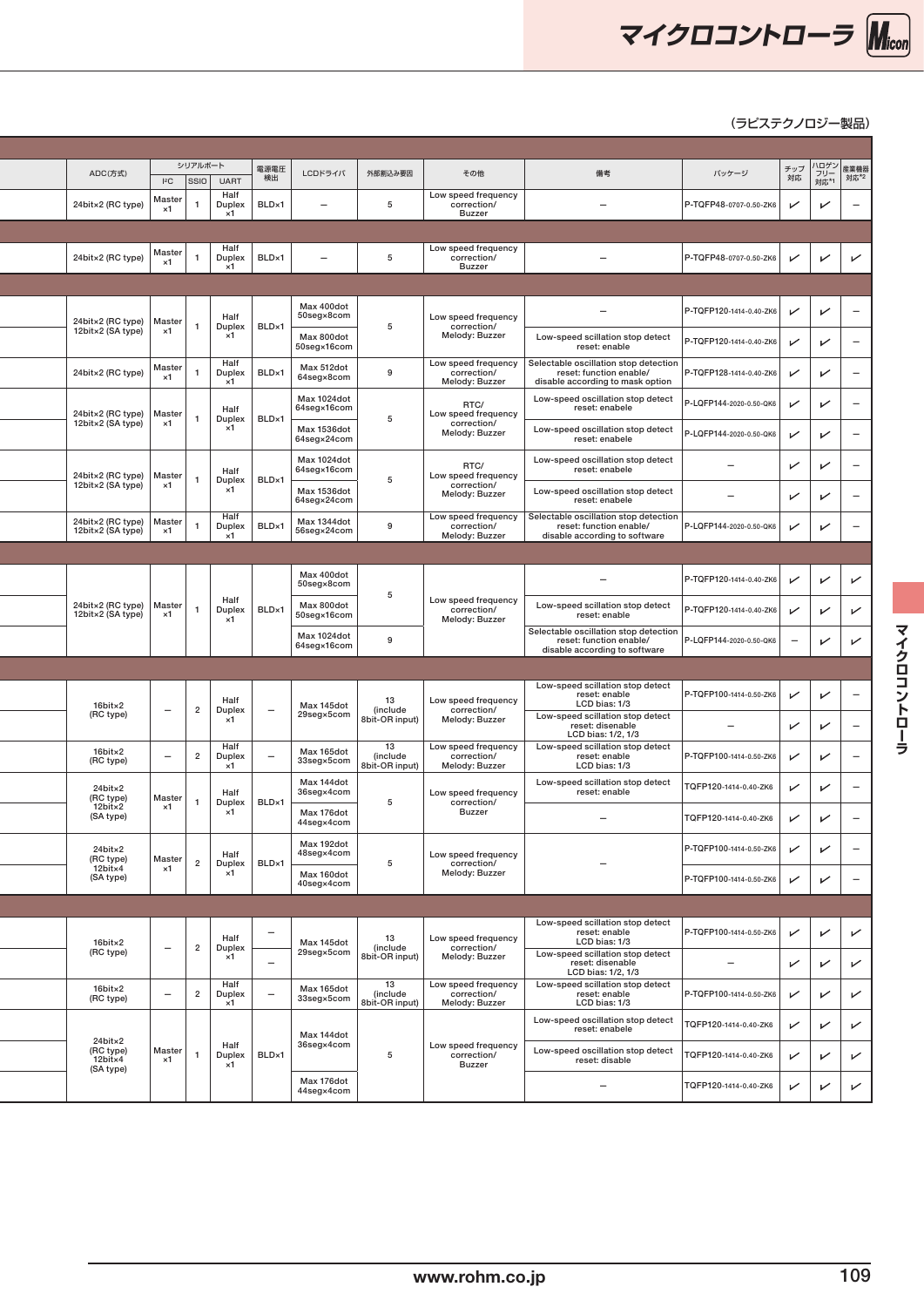

### **8bit ML610400/ML610Q400(U8 Core搭載)** (ラピステクノロジー製品)

| ADC(方式)<br>$ PC $ SSIO                                                         | シリアルボート       | 電源電圧<br>検出<br><b>UART</b>                                | LCDドライバ                    | 外部割込み要因                          | その他                                                  | 備考                                                                                                   | バッケージ                    |                          | │ チップ │ハロゲン│<br>│ チップ │ / フリー│ 産業機器<br>│ 対応 │ 对応*1 │ 対応*2 |
|--------------------------------------------------------------------------------|---------------|----------------------------------------------------------|----------------------------|----------------------------------|------------------------------------------------------|------------------------------------------------------------------------------------------------------|--------------------------|--------------------------|-----------------------------------------------------------|
| Master<br>24bit×2 (RC type)<br>$\times 1$                                      |               | Half<br>Duplex<br>BLD×1<br>$\times 1$                    | $\overline{\phantom{0}}$   | -5                               | Low speed frequency<br>correction/<br>Buzzer         | $\overline{\phantom{a}}$                                                                             | P-TQFP48-0707-0.50-ZK6   | $\checkmark$             | $\checkmark$<br>$\overline{\phantom{a}}$                  |
|                                                                                |               |                                                          |                            |                                  |                                                      |                                                                                                      |                          |                          |                                                           |
| Master<br>24bit×2 (RC type)<br>$\times 1$                                      |               | Half<br>Duplex<br>BLD×1<br>$\times 1$                    | $\overline{\phantom{0}}$   | 5                                | Low speed frequency<br>correction/<br>Buzzer         | $\overline{\phantom{0}}$                                                                             | P-TQFP48-0707-0.50-ZK6   | $\checkmark$             | $\sqrt{ }$<br>$\checkmark$                                |
|                                                                                |               |                                                          |                            |                                  |                                                      |                                                                                                      |                          |                          |                                                           |
| 24bit×2 (RC type)<br>Master                                                    |               | Half<br>BLD×1<br>Duplex                                  | Max 400dot<br>50seg×8com   | 5                                | Low speed frequency<br>correction/                   | $\overline{\phantom{a}}$                                                                             | P-TQFP120-1414-0.40-ZK6  | $\checkmark$             | $\sqrt{ }$<br>$\hspace{0.1mm}-\hspace{0.1mm}$             |
| 12bit×2 (SA type)<br>$\times 1$                                                |               | $\times 1$                                               | Max 800dot<br>50seg×16com  |                                  | Melody: Buzzer                                       | Low-speed scillation stop detect<br>reset: enable                                                    | P-TQFP120-1414-0.40-ZK6  | $\sqrt{ }$               | $\sqrt{ }$<br>$\overline{\phantom{a}}$                    |
| Master<br>24bit×2 (RC type)<br>$\times 1$                                      |               | Half<br>Duplex<br>BLD×1<br>$\times 1$                    | Max 512dot<br>64seg×8com   | 9                                | Low speed frequency<br>correction/<br>Melody: Buzzer | Selectable oscillation stop detection<br>reset: function enable/<br>disable according to mask option | P-TQFP128-1414-0.40-ZK6  | $\checkmark$             | $\sqrt{ }$<br>$\overline{\phantom{a}}$                    |
| 24bit×2 (RC type) Master                                                       |               | Half<br>Duplex<br>BLD×1                                  | Max 1024dot<br>64seg×16com | 5                                | RTC/<br>Low speed frequency                          | Low-speed oscillation stop detect<br>reset: enabele                                                  | -LQFP144-2020-0.50-QK6   | $\checkmark$             | $\checkmark$<br>$\overline{\phantom{a}}$                  |
| 12bit×2 (SA type)<br>×1                                                        |               | $\times 1$                                               | Max 1536dot<br>64seg×24com |                                  | correction/<br>Melody: Buzzer                        | Low-speed oscillation stop detect<br>reset: enabele                                                  | P-LQFP144-2020-0.50-QK6  | $\sqrt{ }$               | $\sqrt{ }$<br>$\hspace{0.1mm}-\hspace{0.1mm}$             |
| 24bit×2 (RC type)<br>12bit×2 (SA type)<br>Master                               |               | Half<br>BLD×1<br>Duplex                                  | Max 1024dot<br>64seg×16com | - 5                              | RTC/<br>Low speed frequency                          | Low-speed oscillation stop detect<br>reset: enabele                                                  | $\qquad \qquad -$        | $\sqrt{ }$               | $\sqrt{ }$<br>$\overline{\phantom{a}}$                    |
| $\times 1$                                                                     |               | ×1                                                       | Max 1536dot<br>64seg×24com |                                  | correction/<br>Melody: Buzzer                        | Low-speed oscillation stop detect<br>reset: enabele                                                  | $\overline{\phantom{m}}$ | $\sqrt{ }$               | ✓<br>$\overline{\phantom{0}}$                             |
| 24bit×2 (RC type)<br>Master<br>12bit×2 (SA type)<br>$\times 1$                 |               | Half<br>Duplex<br>BLD×1<br>$\times 1$                    | Max 1344dot<br>56seg×24com | 9                                | Low speed frequency<br>correction/<br>Melody: Buzzer | Selectable oscillation stop detection<br>reset: function enable/<br>disable according to software    | P-LQFP144-2020-0.50-QK6  | $\sqrt{ }$               | $\sqrt{ }$<br>$\hspace{0.1mm}-\hspace{0.1mm}$             |
|                                                                                |               |                                                          |                            |                                  |                                                      |                                                                                                      |                          |                          |                                                           |
|                                                                                |               |                                                          | Max 400dot<br>50seg×8com   | - 5                              |                                                      | $\overline{\phantom{0}}$                                                                             | P-TQFP120-1414-0.40-ZK6  | $\sqrt{ }$               | $\sqrt{ }$<br>$\checkmark$                                |
| 24bit×2 (RC type) Master<br>12bit×2 (SA type)<br>$\times 1$                    |               | Half<br>BLD×1<br>Duplex<br>$\times 1$                    | Max 800dot<br>50seg×16com  |                                  | Low speed frequency<br>correction/<br>Melody: Buzzer | Low-speed scillation stop detect<br>reset: enable                                                    | P-TQFP120-1414-0.40-ZK6  | $\sqrt{ }$               | $\checkmark$<br>$\checkmark$                              |
|                                                                                |               |                                                          | Max 1024dot<br>64seg×16com | 9                                |                                                      | Selectable oscillation stop detection<br>reset: function enable/<br>disable according to software    | P-LQFP144-2020-0.50-QK6  | $\overline{\phantom{m}}$ | $\sqrt{ }$<br>$\checkmark$                                |
|                                                                                |               |                                                          |                            |                                  |                                                      |                                                                                                      |                          |                          |                                                           |
|                                                                                |               | Half                                                     |                            | 13                               | Low speed frequency                                  | Low-speed scillation stop detect<br>reset: enable                                                    | P-TQFP100-1414-0.50-ZK6  | $\sqrt{ }$               | $\checkmark$<br>$\hspace{0.1mm}-\hspace{0.1mm}$           |
| $16$ bit $\times 2$<br>$\overline{2}$<br>$-$<br>(RC type)                      |               | Duplex<br>$-$<br>$\times$ 1                              | Max 145dot<br>29seg×5com   | (include<br>8bit-OR input)       | correction/<br>Melody: Buzzer                        | LCD bias: 1/3<br>Low-speed scillation stop detect                                                    |                          |                          |                                                           |
|                                                                                |               |                                                          |                            |                                  |                                                      | reset: disenable<br>LCD bias: 1/2, 1/3                                                               | $\overline{\phantom{m}}$ | $\checkmark$             | $\sqrt{ }$                                                |
| $16$ bit $\times 2$<br>$\overline{2}$<br>$-$<br>(RC type)                      |               | Half<br>Duplex<br>$\overline{\phantom{0}}$<br>$\times 1$ | Max 165dot<br>33seg×5com   | 13<br>(include<br>8bit-OR input) | Low speed frequency<br>correction/<br>Melody: Buzzer | Low-speed scillation stop detect<br>reset: enable<br>LCD bias: 1/3                                   | P-TQFP100-1414-0.50-ZK6  | $\checkmark$             | $\checkmark$                                              |
| 24bit×2<br>(RC type)<br>Master<br>12bit×2<br>$\times 1$                        |               | Half<br>BLD×1<br>Duplex                                  | Max 144dot<br>36seg×4com   | 5                                | Low speed frequency<br>correction/                   | Low-speed scillation stop detect<br>reset: enable                                                    | TQFP120-1414-0.40-ZK6    | $\checkmark$             | $\checkmark$<br>$\overline{\phantom{a}}$                  |
| (SA type)                                                                      |               | $\times 1$                                               | Max 176dot<br>44seg×4com   |                                  | Buzzer                                               | $\overline{\phantom{a}}$                                                                             | TQFP120-1414-0.40-ZK6    | $\sqrt{ }$               | $\sqrt{ }$<br>$\hspace{0.1mm}-\hspace{0.1mm}$             |
| 24bit×2<br>(RC type)<br>Master<br>$\overline{2}$<br>12bit×4<br>$\times 1$      |               | Half<br>BLD×1<br>Duplex                                  | Max 192dot<br>48seg×4com   | 5                                | Low speed frequency<br>correction/                   | $\overline{\phantom{m}}$                                                                             | P-TQFP100-1414-0.50-ZK6  | $\checkmark$             | $\sqrt{ }$<br>$\hspace{0.1mm}-\hspace{0.1mm}$             |
| (SA type)                                                                      |               | ×1                                                       | Max 160dot<br>40seg×4com   |                                  | Melody: Buzzer                                       |                                                                                                      | P-TQFP100-1414-0.50-ZK6  | $\overline{\mathscr{C}}$ | $\sqrt{ }$<br>$\hspace{0.1mm}-\hspace{0.1mm}$             |
|                                                                                |               |                                                          |                            |                                  |                                                      |                                                                                                      |                          |                          |                                                           |
| $16$ bit $\times 2$<br>$\overline{2}$<br>$\overline{\phantom{a}}$<br>(RC type) | <b>Duplex</b> | $\overline{\phantom{a}}$<br>Half                         | Max 145dot<br>29seg×5com   | 13<br>(include                   | Low speed frequency<br>correction/                   | Low-speed scillation stop detect<br>reset: enable<br>LCD bias: 1/3                                   | P-TQFP100-1414-0.50-ZK6  | $\sqrt{ }$               | $\sqrt{ }$<br>$\sqrt{ }$                                  |
|                                                                                |               | ×1<br>$\overline{\phantom{0}}$                           |                            | 8bit-OR input)                   | Melody: Buzzer                                       | Low-speed scillation stop detect<br>reset: disenable<br>LCD bias: 1/2, 1/3                           | $\overline{\phantom{m}}$ | $\sqrt{ }$               | $\sqrt{ }$<br>$\checkmark$                                |
| $16$ bit $\times 2$<br>$\overline{2}$<br>$\overline{\phantom{0}}$<br>(RC type) |               | Half<br>Duplex<br>$\overline{\phantom{0}}$<br>$\times 1$ | Max 165dot<br>33seg×5com   | 13<br>(include<br>8bit-OR input) | Low speed frequency<br>correction/<br>Melody: Buzzer | Low-speed scillation stop detect<br>reset: enable<br>LCD bias: 1/3                                   | P-TQFP100-1414-0.50-ZK6  | $\sqrt{ }$               | $\checkmark$<br>$\sqrt{ }$                                |
| 24bit×2                                                                        |               |                                                          | Max 144dot                 |                                  |                                                      | Low-speed oscillation stop detect<br>reset: enabele                                                  | TQFP120-1414-0.40-ZK6    | $\sqrt{ }$               | $\sqrt{ }$<br>$\checkmark$                                |
| (RC type)<br>Master<br>12bit×4<br>×1                                           |               | Half<br>BLD×1<br>Duplex                                  | 36seg×4com                 | 5                                | Low speed frequency<br>correction/                   | Low-speed oscillation stop detect<br>reset: disable                                                  | TQFP120-1414-0.40-ZK6    | $\sqrt{ }$               | $\checkmark$<br>$\sqrt{ }$                                |
| (SA type)                                                                      |               | ×1                                                       |                            |                                  | <b>Buzzer</b>                                        |                                                                                                      |                          |                          |                                                           |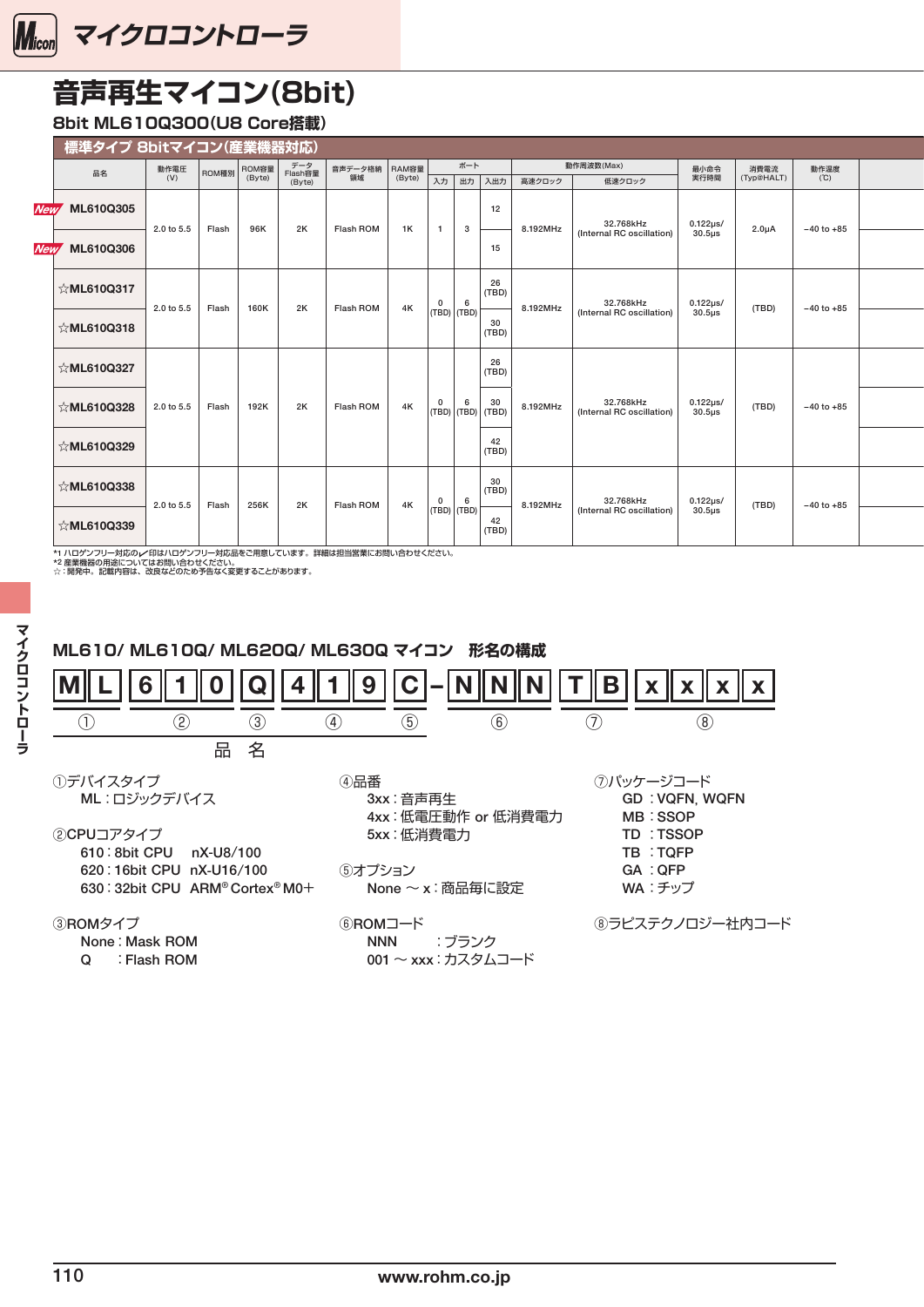<span id="page-10-0"></span>

### **音声再生マイコン(8bit)**

### **8bit ML610Q300(U8 Core搭載)**

| ┃ 標準タイプ 8bitマイコン(産業機器対応) |                  |       |                 |                          |               |                 |   |                                                                                                               |          |                                        |                    |                    |                |  |
|--------------------------|------------------|-------|-----------------|--------------------------|---------------|-----------------|---|---------------------------------------------------------------------------------------------------------------|----------|----------------------------------------|--------------------|--------------------|----------------|--|
| 品名                       | 動作電圧<br>(V)      | ROM種別 | ROM容量<br>(Byte) | データ<br>Flash容量<br>(Byte) | 音声データ格納<br>領域 | RAM容量<br>(Byte) |   | ボート<br>入力出力入出力                                                                                                | 高速クロック   | 動作周波数(Max)<br>低速クロック                   | 最小命令<br>実行時間       | 消費電流<br>(Typ@HALT) | 動作温度<br>(℃)    |  |
| <b>New ML610Q305</b>     | 2.0 to 5.5 Flash |       | 96K             | 2K                       | Flash ROM     | <b>1K</b>       |   | 12<br>$\overline{\mathbf{3}}$                                                                                 | 8.192MHz |                                        | 0.122µs/<br>30.5µs | $2.0\mu A$         | $-40$ to $+85$ |  |
| New ML610Q306            |                  |       |                 |                          |               |                 |   | 15                                                                                                            |          | 32.768kHz<br>(Internal RC oscillation) |                    |                    |                |  |
| ☆ML610Q317               | 2.0 to 5.5       |       | 160K            | 2K                       | Flash ROM     | 4K              | 0 | $\frac{26}{(TBD)}$<br>6                                                                                       |          |                                        |                    | (TBD)              | $-40$ to $+85$ |  |
| ☆ML610Q318               |                  | Flash |                 |                          |               |                 |   | $ $ (TBD) $ $ (TBD) $ $<br>$30$<br>(TBD)                                                                      | 8.192MHz | 32.768kHz<br>(Internal RC oscillation) | 0.122µs/<br>30.5µs |                    |                |  |
| $\&$ ML610Q327           |                  |       |                 |                          |               |                 |   | $\frac{26}{(TBD)}$                                                                                            |          |                                        |                    |                    |                |  |
| ☆ML610Q328               | 2.0 to 5.5 Flash |       | 192K            | 2K                       | Flash ROM     | 4K              |   | $\begin{array}{ c c c c } \hline 0 & 6 & 30 \\ \hline \text{(TBD)} & \text{(TBD)} & \text{(TBD)} \end{array}$ | 8.192MHz | 32.768kHz<br>(Internal RC oscillation) | 0.122µs/<br>30.5µs | (TBD)              | $-40$ to $+85$ |  |
| $\&$ ML610Q329           |                  |       |                 |                          |               |                 |   | $\frac{42}{(TBD)}$                                                                                            |          |                                        |                    |                    |                |  |
| $\&$ ML610Q338           | 2.0 to 5.5 Flash |       | 256K            | 2K                       | Flash ROM     | 4K              |   | $30$<br>(TBD)<br>$\begin{array}{ c c } \hline 0 & 6 \\ \hline \text{(TBD)} & \text{(TBD)} \end{array}$        | 8.192MHz | 32.768kHz<br>(Internal RC oscillation) | 0.122µs/<br>30.5µs | (TBD)              | $-40$ to $+85$ |  |
| ☆ML610Q339               |                  |       |                 |                          |               |                 |   | 42<br>(TBD)                                                                                                   |          |                                        |                    |                    |                |  |

\*1 ハロゲンフリー対応のレイ印はハロゲンフリー対応品をご用意しています。詳細は担当営業にお問い合わせください。<br>\*2 産業機器の用途についてはお問い合わせください。<br>☆:開発中。記載内容は、改良などのため予告なく変更することがあります。